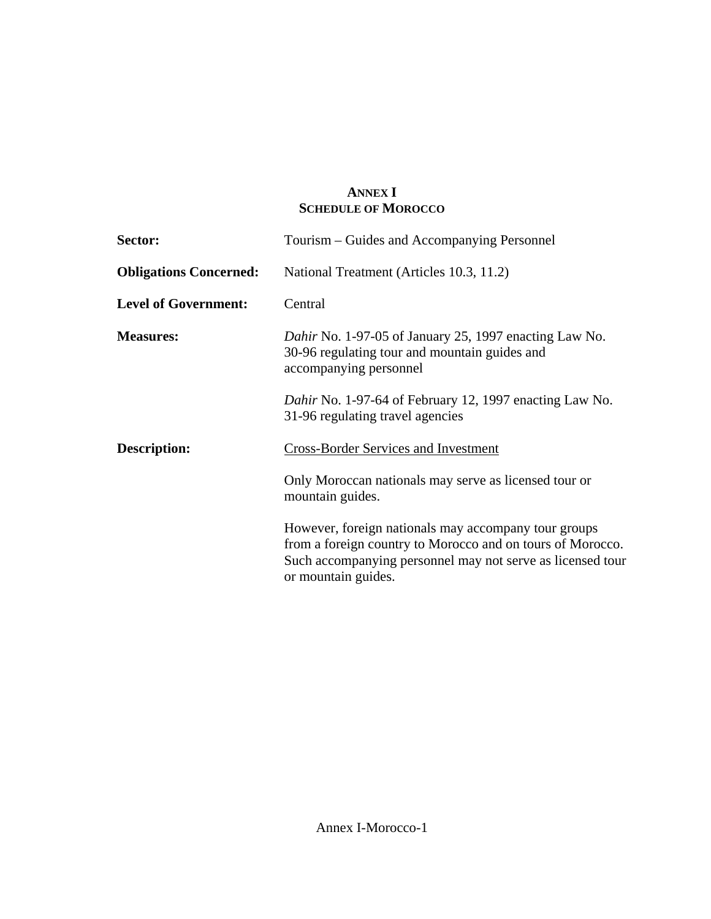## **ANNEX I SCHEDULE OF MOROCCO**

| Sector:                       | Tourism – Guides and Accompanying Personnel                                                                                                                                                             |
|-------------------------------|---------------------------------------------------------------------------------------------------------------------------------------------------------------------------------------------------------|
| <b>Obligations Concerned:</b> | National Treatment (Articles 10.3, 11.2)                                                                                                                                                                |
| <b>Level of Government:</b>   | Central                                                                                                                                                                                                 |
| <b>Measures:</b>              | Dahir No. 1-97-05 of January 25, 1997 enacting Law No.<br>30-96 regulating tour and mountain guides and<br>accompanying personnel                                                                       |
|                               | Dahir No. 1-97-64 of February 12, 1997 enacting Law No.<br>31-96 regulating travel agencies                                                                                                             |
| <b>Description:</b>           | <b>Cross-Border Services and Investment</b>                                                                                                                                                             |
|                               | Only Moroccan nationals may serve as licensed tour or<br>mountain guides.                                                                                                                               |
|                               | However, foreign nationals may accompany tour groups<br>from a foreign country to Morocco and on tours of Morocco.<br>Such accompanying personnel may not serve as licensed tour<br>or mountain guides. |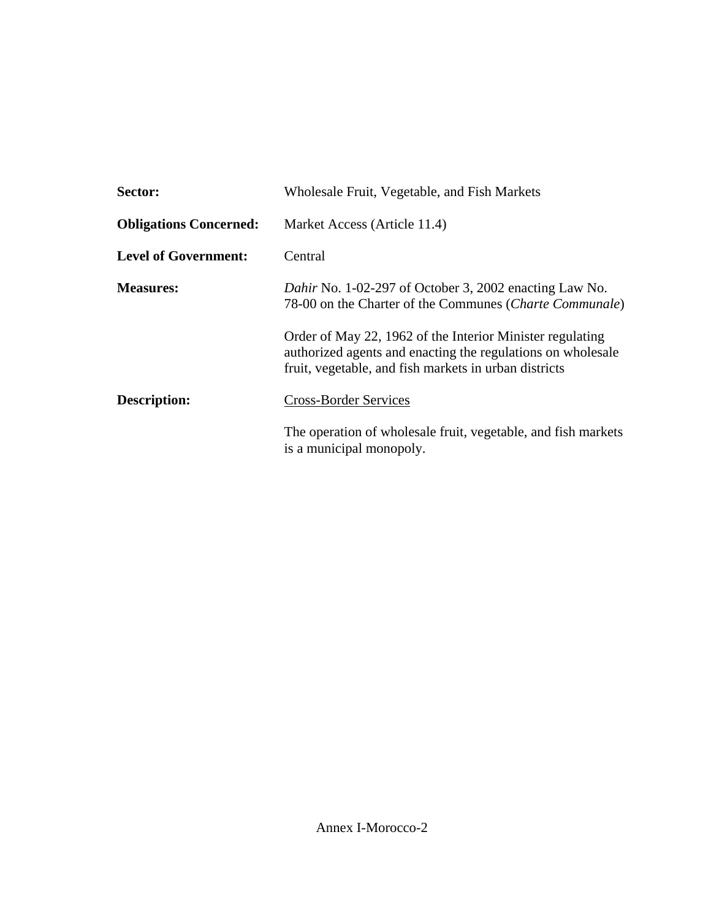| Sector:                       | Wholesale Fruit, Vegetable, and Fish Markets                                                                                                                                      |
|-------------------------------|-----------------------------------------------------------------------------------------------------------------------------------------------------------------------------------|
| <b>Obligations Concerned:</b> | Market Access (Article 11.4)                                                                                                                                                      |
| <b>Level of Government:</b>   | Central                                                                                                                                                                           |
| <b>Measures:</b>              | Dahir No. 1-02-297 of October 3, 2002 enacting Law No.<br>78-00 on the Charter of the Communes (Charte Communale)                                                                 |
|                               | Order of May 22, 1962 of the Interior Minister regulating<br>authorized agents and enacting the regulations on wholesale<br>fruit, vegetable, and fish markets in urban districts |
| Description:                  | <b>Cross-Border Services</b>                                                                                                                                                      |
|                               | The operation of wholesale fruit, vegetable, and fish markets<br>is a municipal monopoly.                                                                                         |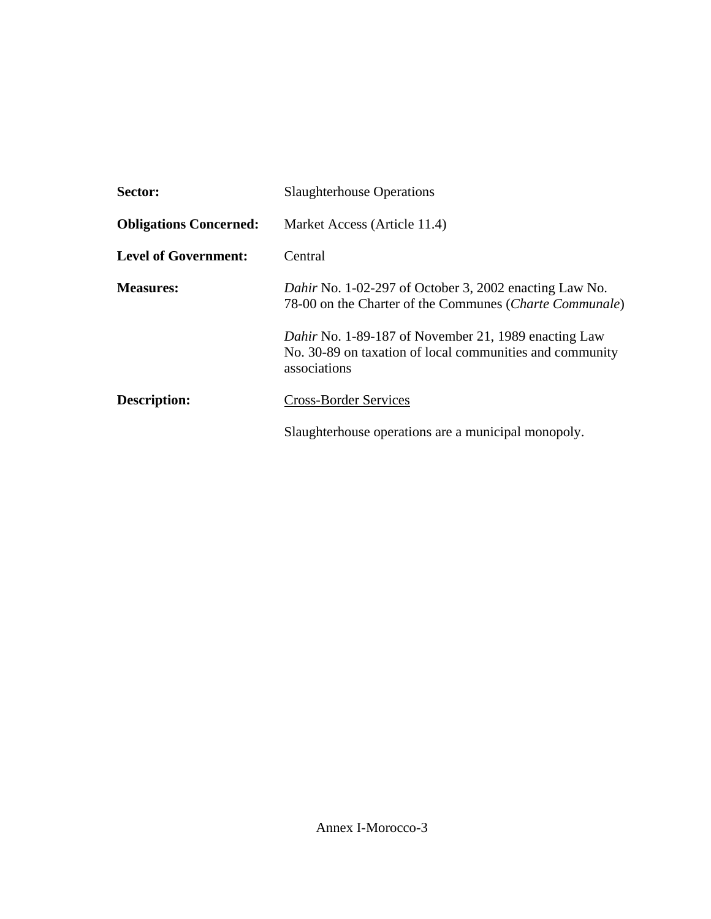| Sector:                       | <b>Slaughterhouse Operations</b>                                                                                                 |
|-------------------------------|----------------------------------------------------------------------------------------------------------------------------------|
| <b>Obligations Concerned:</b> | Market Access (Article 11.4)                                                                                                     |
| <b>Level of Government:</b>   | Central                                                                                                                          |
| <b>Measures:</b>              | Dahir No. 1-02-297 of October 3, 2002 enacting Law No.<br>78-00 on the Charter of the Communes (Charte Communale)                |
|                               | Dahir No. 1-89-187 of November 21, 1989 enacting Law<br>No. 30-89 on taxation of local communities and community<br>associations |
| <b>Description:</b>           | <b>Cross-Border Services</b>                                                                                                     |
|                               | Slaughterhouse operations are a municipal monopoly.                                                                              |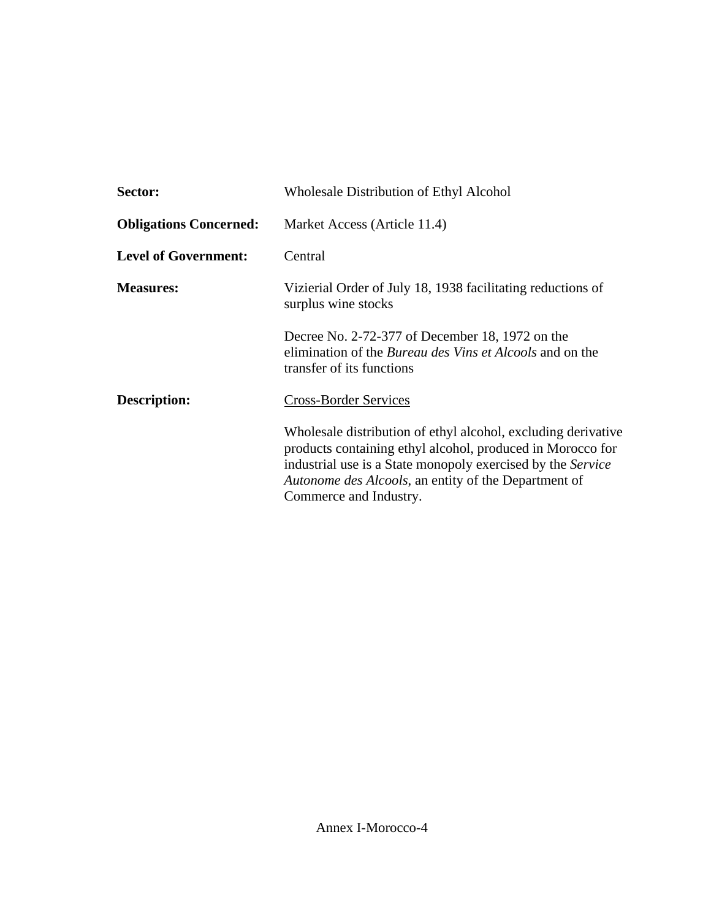| Sector:                       | Wholesale Distribution of Ethyl Alcohol                                                                                                                                                                                                                                              |
|-------------------------------|--------------------------------------------------------------------------------------------------------------------------------------------------------------------------------------------------------------------------------------------------------------------------------------|
| <b>Obligations Concerned:</b> | Market Access (Article 11.4)                                                                                                                                                                                                                                                         |
| <b>Level of Government:</b>   | Central                                                                                                                                                                                                                                                                              |
| <b>Measures:</b>              | Vizierial Order of July 18, 1938 facilitating reductions of<br>surplus wine stocks                                                                                                                                                                                                   |
|                               | Decree No. 2-72-377 of December 18, 1972 on the<br>elimination of the <i>Bureau des Vins et Alcools</i> and on the<br>transfer of its functions                                                                                                                                      |
| Description:                  | <b>Cross-Border Services</b>                                                                                                                                                                                                                                                         |
|                               | Wholesale distribution of ethyl alcohol, excluding derivative<br>products containing ethyl alcohol, produced in Morocco for<br>industrial use is a State monopoly exercised by the Service<br><i>Autonome des Alcools</i> , an entity of the Department of<br>Commerce and Industry. |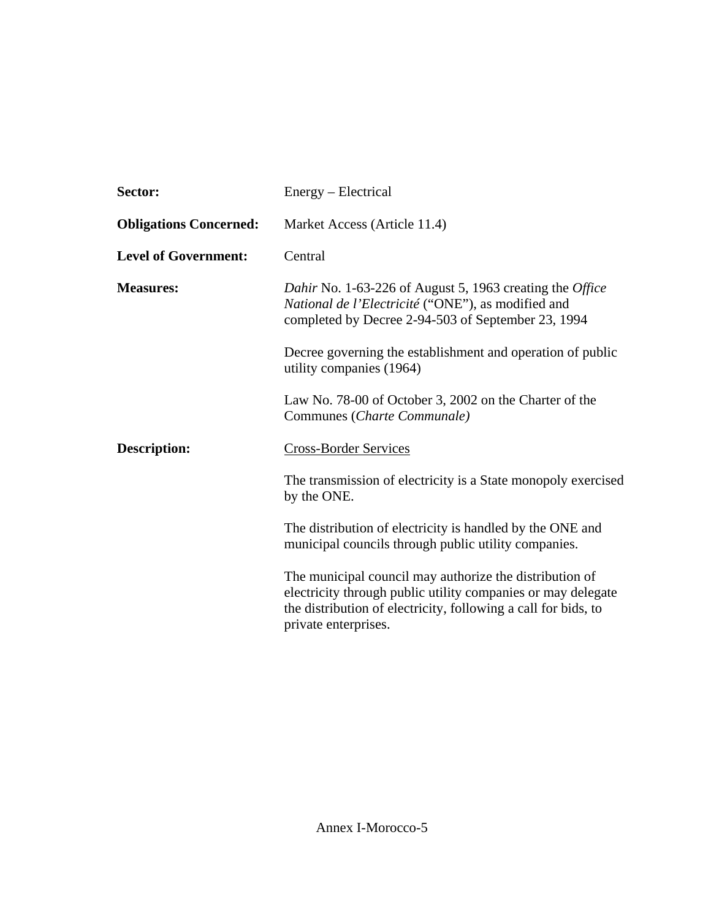| Sector:                       | Energy – Electrical                                                                                                                                                                                               |
|-------------------------------|-------------------------------------------------------------------------------------------------------------------------------------------------------------------------------------------------------------------|
| <b>Obligations Concerned:</b> | Market Access (Article 11.4)                                                                                                                                                                                      |
| <b>Level of Government:</b>   | Central                                                                                                                                                                                                           |
| <b>Measures:</b>              | Dahir No. 1-63-226 of August 5, 1963 creating the Office<br>National de l'Electricité ("ONE"), as modified and<br>completed by Decree 2-94-503 of September 23, 1994                                              |
|                               | Decree governing the establishment and operation of public<br>utility companies (1964)                                                                                                                            |
|                               | Law No. 78-00 of October 3, 2002 on the Charter of the<br>Communes (Charte Communale)                                                                                                                             |
| <b>Description:</b>           | <b>Cross-Border Services</b>                                                                                                                                                                                      |
|                               | The transmission of electricity is a State monopoly exercised<br>by the ONE.                                                                                                                                      |
|                               | The distribution of electricity is handled by the ONE and<br>municipal councils through public utility companies.                                                                                                 |
|                               | The municipal council may authorize the distribution of<br>electricity through public utility companies or may delegate<br>the distribution of electricity, following a call for bids, to<br>private enterprises. |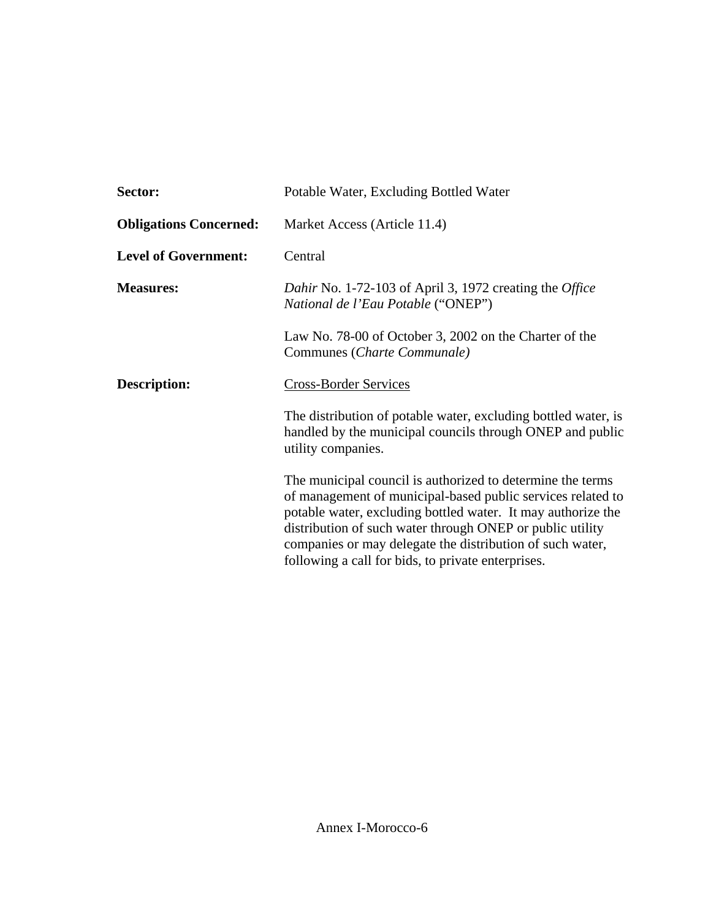| Sector:                       | Potable Water, Excluding Bottled Water                                                                                                                                                                                                                                                                                                                                    |
|-------------------------------|---------------------------------------------------------------------------------------------------------------------------------------------------------------------------------------------------------------------------------------------------------------------------------------------------------------------------------------------------------------------------|
| <b>Obligations Concerned:</b> | Market Access (Article 11.4)                                                                                                                                                                                                                                                                                                                                              |
| <b>Level of Government:</b>   | Central                                                                                                                                                                                                                                                                                                                                                                   |
| <b>Measures:</b>              | Dahir No. 1-72-103 of April 3, 1972 creating the <i>Office</i><br>National de l'Eau Potable ("ONEP")                                                                                                                                                                                                                                                                      |
|                               | Law No. 78-00 of October 3, 2002 on the Charter of the<br>Communes (Charte Communale)                                                                                                                                                                                                                                                                                     |
| <b>Description:</b>           | <b>Cross-Border Services</b>                                                                                                                                                                                                                                                                                                                                              |
|                               | The distribution of potable water, excluding bottled water, is<br>handled by the municipal councils through ONEP and public<br>utility companies.                                                                                                                                                                                                                         |
|                               | The municipal council is authorized to determine the terms<br>of management of municipal-based public services related to<br>potable water, excluding bottled water. It may authorize the<br>distribution of such water through ONEP or public utility<br>companies or may delegate the distribution of such water,<br>following a call for bids, to private enterprises. |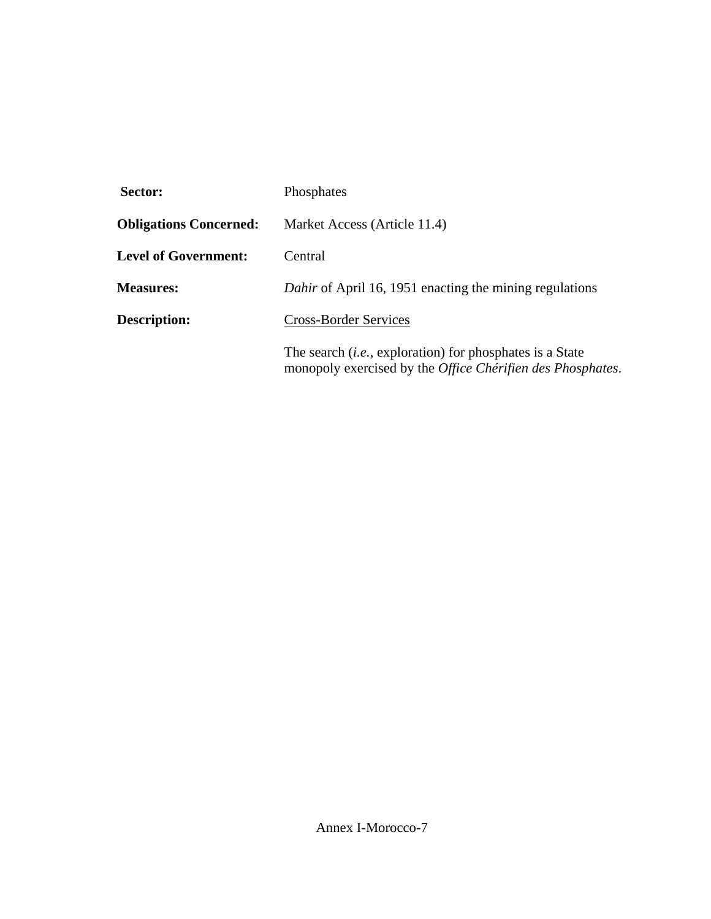| Sector:                       | Phosphates                                                                                                                    |
|-------------------------------|-------------------------------------------------------------------------------------------------------------------------------|
| <b>Obligations Concerned:</b> | Market Access (Article 11.4)                                                                                                  |
| <b>Level of Government:</b>   | Central                                                                                                                       |
| <b>Measures:</b>              | Dahir of April 16, 1951 enacting the mining regulations                                                                       |
| <b>Description:</b>           | <b>Cross-Border Services</b>                                                                                                  |
|                               | The search <i>(i.e., exploration)</i> for phosphates is a State<br>monopoly exercised by the Office Chérifien des Phosphates. |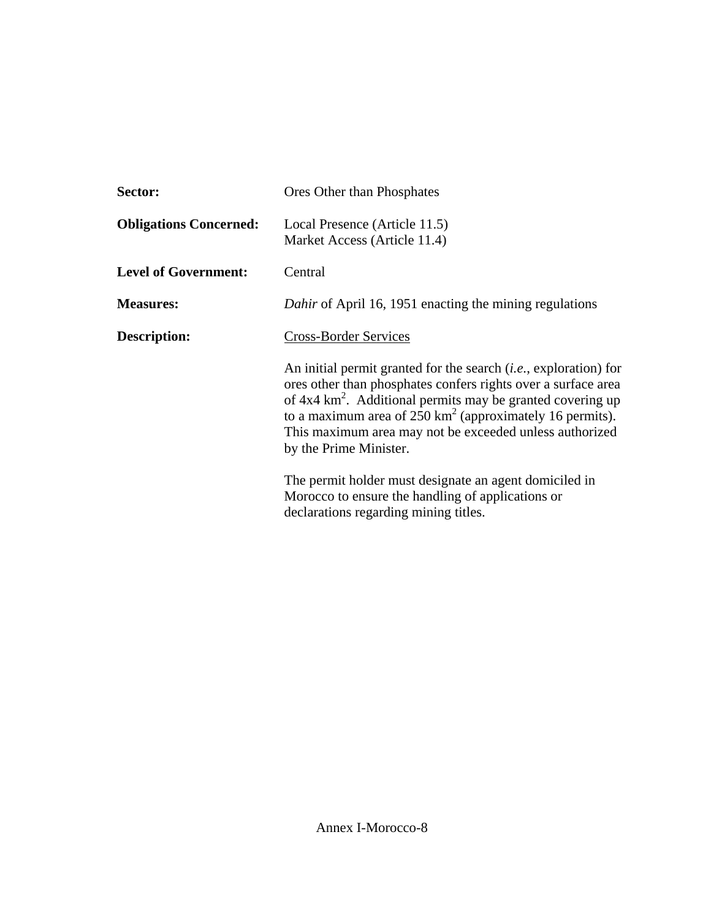| Sector:                       | Ores Other than Phosphates                                                                                                                                                                                                                                                                                                                                                     |
|-------------------------------|--------------------------------------------------------------------------------------------------------------------------------------------------------------------------------------------------------------------------------------------------------------------------------------------------------------------------------------------------------------------------------|
| <b>Obligations Concerned:</b> | Local Presence (Article 11.5)<br>Market Access (Article 11.4)                                                                                                                                                                                                                                                                                                                  |
| <b>Level of Government:</b>   | Central                                                                                                                                                                                                                                                                                                                                                                        |
| <b>Measures:</b>              | <i>Dahir</i> of April 16, 1951 enacting the mining regulations                                                                                                                                                                                                                                                                                                                 |
| Description:                  | <b>Cross-Border Services</b>                                                                                                                                                                                                                                                                                                                                                   |
|                               | An initial permit granted for the search <i>(i.e.</i> , exploration) for<br>ores other than phosphates confers rights over a surface area<br>of $4x4 \text{ km}^2$ . Additional permits may be granted covering up<br>to a maximum area of $250 \text{ km}^2$ (approximately 16 permits).<br>This maximum area may not be exceeded unless authorized<br>by the Prime Minister. |
|                               | The permit holder must designate an agent domiciled in<br>Morocco to ensure the handling of applications or<br>declarations regarding mining titles.                                                                                                                                                                                                                           |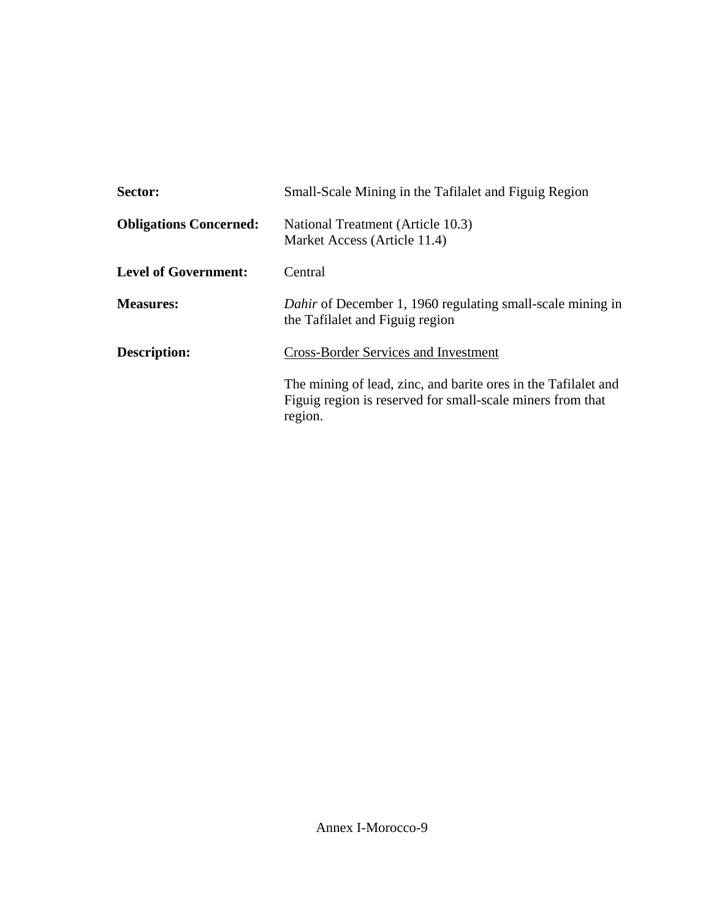| Sector:                       | Small-Scale Mining in the Tafilalet and Figuig Region                                                                                   |
|-------------------------------|-----------------------------------------------------------------------------------------------------------------------------------------|
| <b>Obligations Concerned:</b> | National Treatment (Article 10.3)<br>Market Access (Article 11.4)                                                                       |
| <b>Level of Government:</b>   | Central                                                                                                                                 |
| <b>Measures:</b>              | <i>Dahir</i> of December 1, 1960 regulating small-scale mining in<br>the Tafilalet and Figuig region                                    |
| Description:                  | <b>Cross-Border Services and Investment</b>                                                                                             |
|                               | The mining of lead, zinc, and barite ores in the Tafilalet and<br>Figuig region is reserved for small-scale miners from that<br>region. |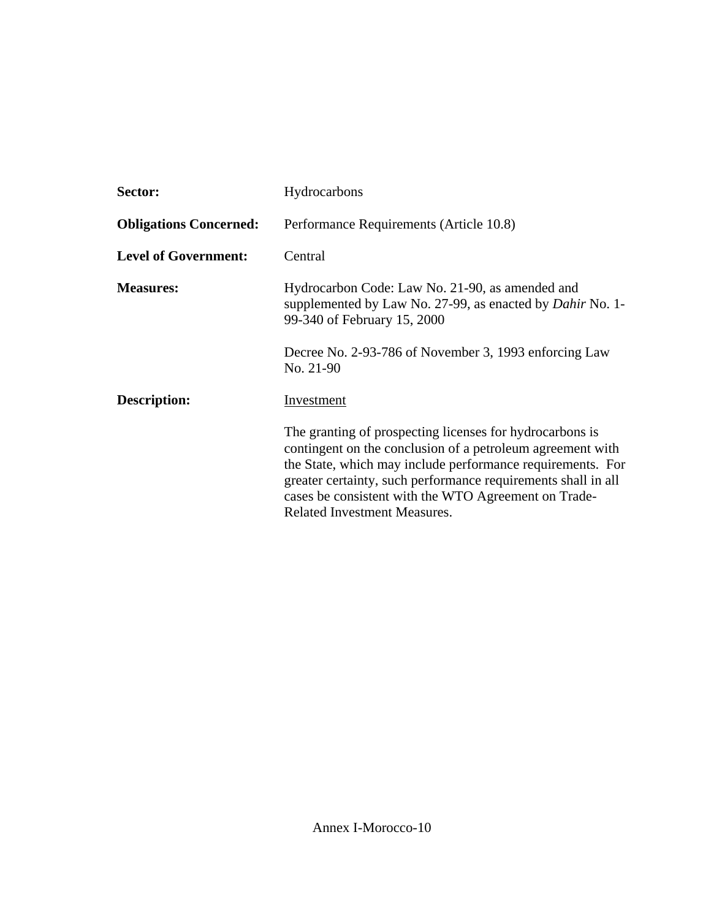| Sector:                       | Hydrocarbons                                                                                                                                                                                                                                                                                                                                         |
|-------------------------------|------------------------------------------------------------------------------------------------------------------------------------------------------------------------------------------------------------------------------------------------------------------------------------------------------------------------------------------------------|
| <b>Obligations Concerned:</b> | Performance Requirements (Article 10.8)                                                                                                                                                                                                                                                                                                              |
| <b>Level of Government:</b>   | Central                                                                                                                                                                                                                                                                                                                                              |
| <b>Measures:</b>              | Hydrocarbon Code: Law No. 21-90, as amended and<br>supplemented by Law No. 27-99, as enacted by <i>Dahir</i> No. 1-<br>99-340 of February 15, 2000                                                                                                                                                                                                   |
|                               | Decree No. 2-93-786 of November 3, 1993 enforcing Law<br>No. 21-90                                                                                                                                                                                                                                                                                   |
| Description:                  | Investment                                                                                                                                                                                                                                                                                                                                           |
|                               | The granting of prospecting licenses for hydrocarbons is<br>contingent on the conclusion of a petroleum agreement with<br>the State, which may include performance requirements. For<br>greater certainty, such performance requirements shall in all<br>cases be consistent with the WTO Agreement on Trade-<br><b>Related Investment Measures.</b> |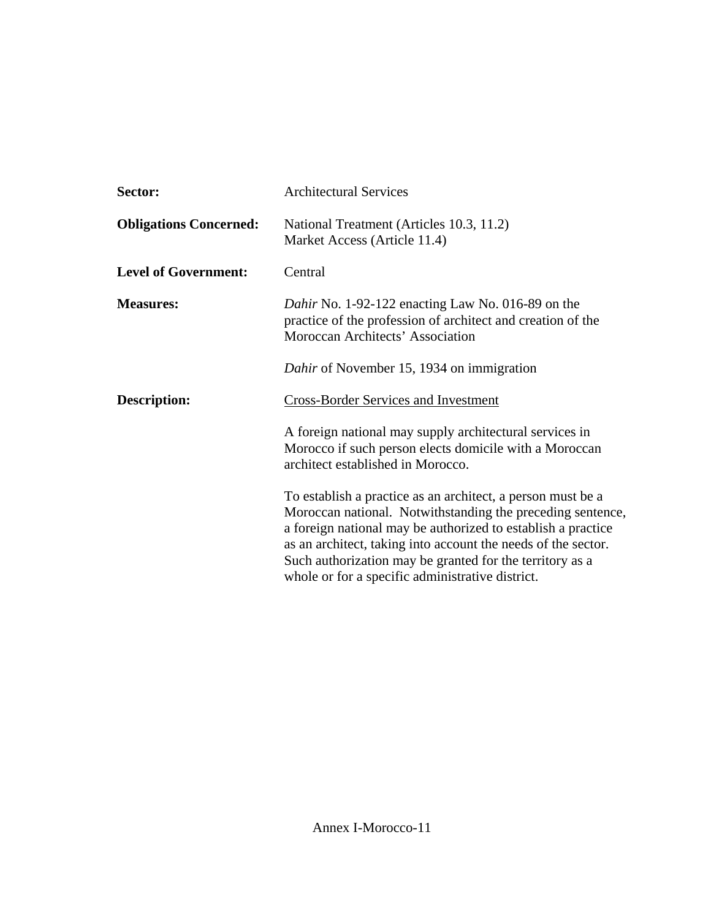| Sector:                       | <b>Architectural Services</b>                                                                                                                                                                                                                                                                                                                                              |
|-------------------------------|----------------------------------------------------------------------------------------------------------------------------------------------------------------------------------------------------------------------------------------------------------------------------------------------------------------------------------------------------------------------------|
| <b>Obligations Concerned:</b> | National Treatment (Articles 10.3, 11.2)<br>Market Access (Article 11.4)                                                                                                                                                                                                                                                                                                   |
| <b>Level of Government:</b>   | Central                                                                                                                                                                                                                                                                                                                                                                    |
| <b>Measures:</b>              | Dahir No. 1-92-122 enacting Law No. 016-89 on the<br>practice of the profession of architect and creation of the<br>Moroccan Architects' Association                                                                                                                                                                                                                       |
|                               | Dahir of November 15, 1934 on immigration                                                                                                                                                                                                                                                                                                                                  |
| Description:                  | <b>Cross-Border Services and Investment</b>                                                                                                                                                                                                                                                                                                                                |
|                               | A foreign national may supply architectural services in<br>Morocco if such person elects domicile with a Moroccan<br>architect established in Morocco.                                                                                                                                                                                                                     |
|                               | To establish a practice as an architect, a person must be a<br>Moroccan national. Notwithstanding the preceding sentence,<br>a foreign national may be authorized to establish a practice<br>as an architect, taking into account the needs of the sector.<br>Such authorization may be granted for the territory as a<br>whole or for a specific administrative district. |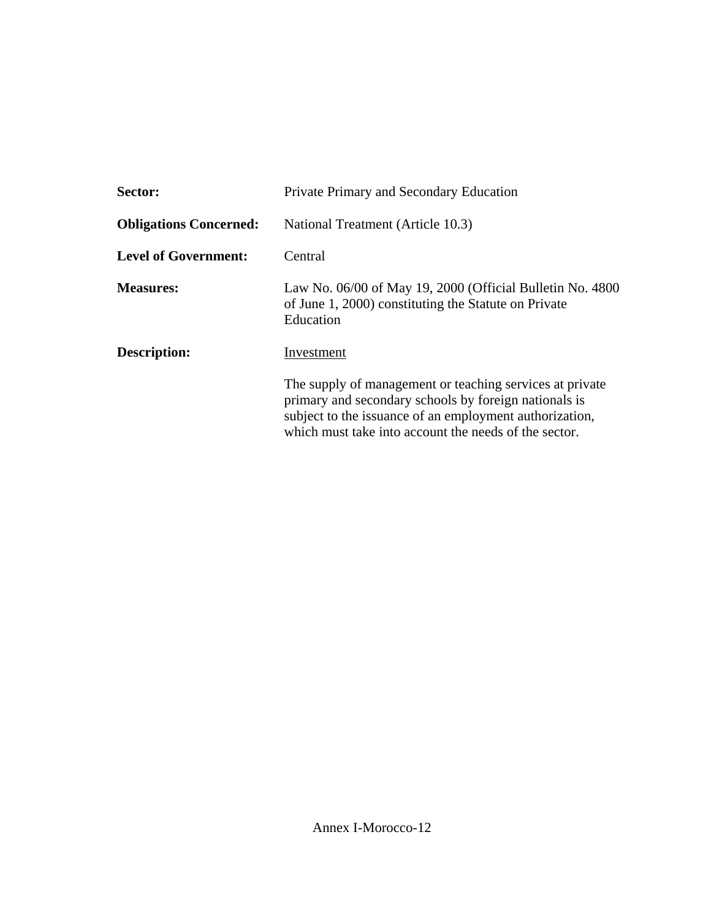| Sector:                       | Private Primary and Secondary Education                                                                                                                                                                                               |
|-------------------------------|---------------------------------------------------------------------------------------------------------------------------------------------------------------------------------------------------------------------------------------|
| <b>Obligations Concerned:</b> | National Treatment (Article 10.3)                                                                                                                                                                                                     |
| <b>Level of Government:</b>   | Central                                                                                                                                                                                                                               |
| <b>Measures:</b>              | Law No. $06/00$ of May 19, 2000 (Official Bulletin No. 4800)<br>of June 1, 2000) constituting the Statute on Private<br>Education                                                                                                     |
| Description:                  | Investment                                                                                                                                                                                                                            |
|                               | The supply of management or teaching services at private<br>primary and secondary schools by foreign nationals is<br>subject to the issuance of an employment authorization,<br>which must take into account the needs of the sector. |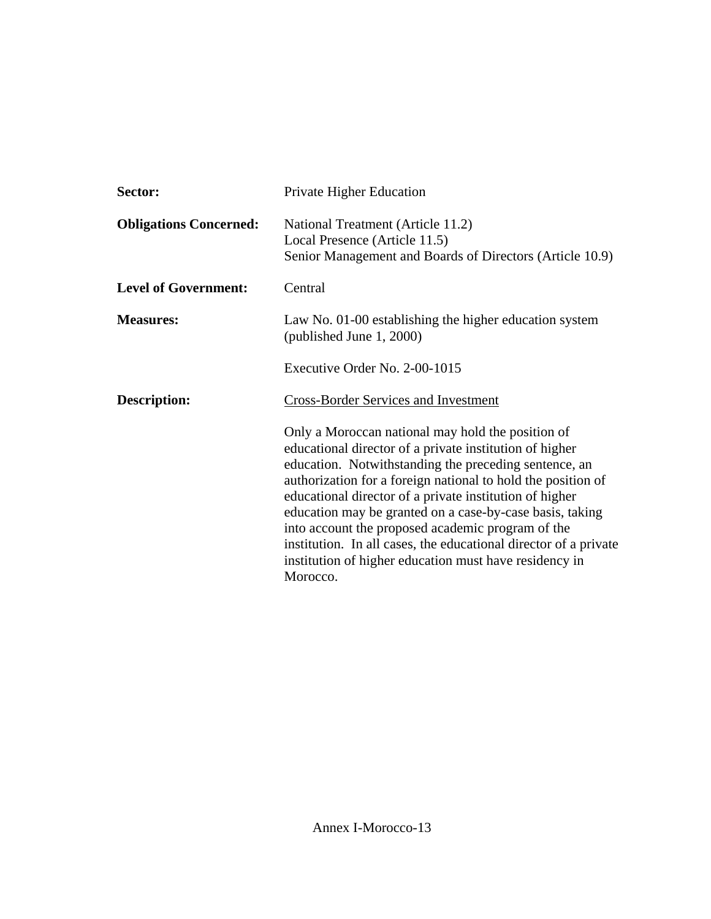| Sector:                       | Private Higher Education                                                                                                                                                                                                                                                                                                                                                                                                                                                                                                                                    |
|-------------------------------|-------------------------------------------------------------------------------------------------------------------------------------------------------------------------------------------------------------------------------------------------------------------------------------------------------------------------------------------------------------------------------------------------------------------------------------------------------------------------------------------------------------------------------------------------------------|
| <b>Obligations Concerned:</b> | National Treatment (Article 11.2)<br>Local Presence (Article 11.5)<br>Senior Management and Boards of Directors (Article 10.9)                                                                                                                                                                                                                                                                                                                                                                                                                              |
| <b>Level of Government:</b>   | Central                                                                                                                                                                                                                                                                                                                                                                                                                                                                                                                                                     |
| <b>Measures:</b>              | Law No. 01-00 establishing the higher education system<br>(published June 1, 2000)                                                                                                                                                                                                                                                                                                                                                                                                                                                                          |
|                               | Executive Order No. 2-00-1015                                                                                                                                                                                                                                                                                                                                                                                                                                                                                                                               |
| <b>Description:</b>           | <b>Cross-Border Services and Investment</b>                                                                                                                                                                                                                                                                                                                                                                                                                                                                                                                 |
|                               | Only a Moroccan national may hold the position of<br>educational director of a private institution of higher<br>education. Notwithstanding the preceding sentence, an<br>authorization for a foreign national to hold the position of<br>educational director of a private institution of higher<br>education may be granted on a case-by-case basis, taking<br>into account the proposed academic program of the<br>institution. In all cases, the educational director of a private<br>institution of higher education must have residency in<br>Morocco. |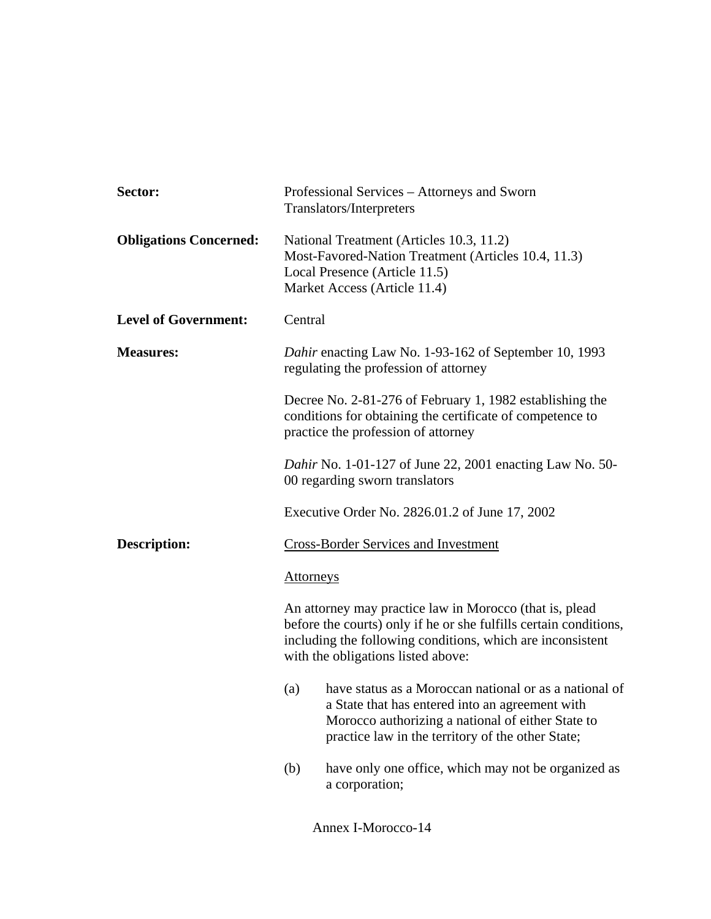| Sector:                       | Professional Services - Attorneys and Sworn<br>Translators/Interpreters                                                                                                                                                          |
|-------------------------------|----------------------------------------------------------------------------------------------------------------------------------------------------------------------------------------------------------------------------------|
| <b>Obligations Concerned:</b> | National Treatment (Articles 10.3, 11.2)<br>Most-Favored-Nation Treatment (Articles 10.4, 11.3)<br>Local Presence (Article 11.5)<br>Market Access (Article 11.4)                                                                 |
| <b>Level of Government:</b>   | Central                                                                                                                                                                                                                          |
| <b>Measures:</b>              | Dahir enacting Law No. 1-93-162 of September 10, 1993<br>regulating the profession of attorney                                                                                                                                   |
|                               | Decree No. 2-81-276 of February 1, 1982 establishing the<br>conditions for obtaining the certificate of competence to<br>practice the profession of attorney                                                                     |
|                               | Dahir No. 1-01-127 of June 22, 2001 enacting Law No. 50-<br>00 regarding sworn translators                                                                                                                                       |
|                               | Executive Order No. 2826.01.2 of June 17, 2002                                                                                                                                                                                   |
| <b>Description:</b>           | <b>Cross-Border Services and Investment</b>                                                                                                                                                                                      |
|                               | <b>Attorneys</b>                                                                                                                                                                                                                 |
|                               | An attorney may practice law in Morocco (that is, plead<br>before the courts) only if he or she fulfills certain conditions,<br>including the following conditions, which are inconsistent<br>with the obligations listed above: |
|                               | have status as a Moroccan national or as a national of<br>(a)<br>a State that has entered into an agreement with<br>Morocco authorizing a national of either State to<br>practice law in the territory of the other State;       |
|                               | have only one office, which may not be organized as<br>(b)<br>a corporation;                                                                                                                                                     |
|                               | Annex I-Morocco-14                                                                                                                                                                                                               |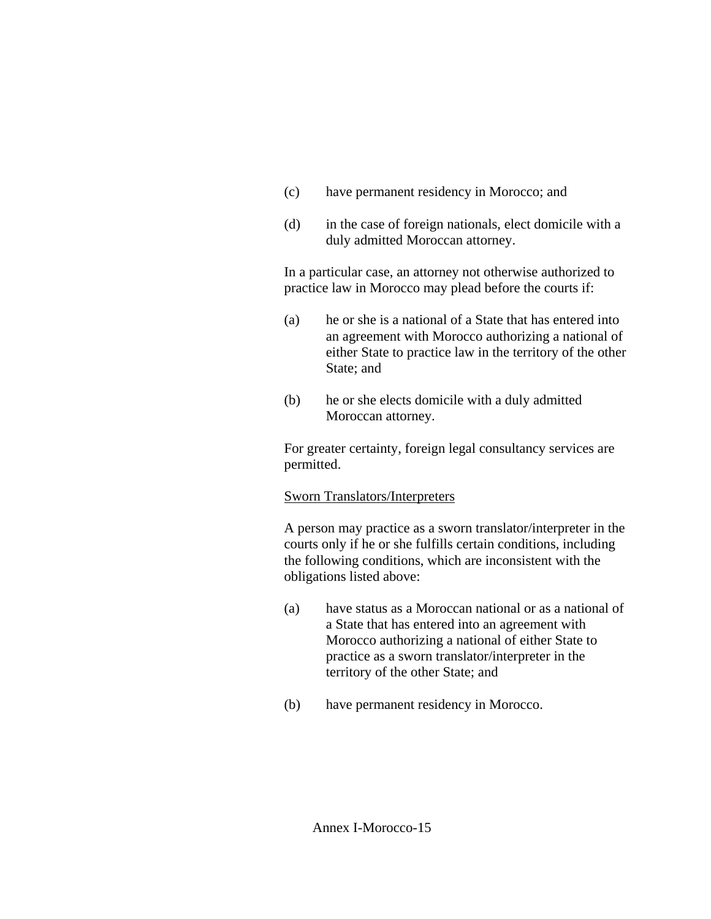- (c) have permanent residency in Morocco; and
- (d) in the case of foreign nationals, elect domicile with a duly admitted Moroccan attorney.

In a particular case, an attorney not otherwise authorized to practice law in Morocco may plead before the courts if:

- (a) he or she is a national of a State that has entered into an agreement with Morocco authorizing a national of either State to practice law in the territory of the other State; and
- (b) he or she elects domicile with a duly admitted Moroccan attorney.

For greater certainty, foreign legal consultancy services are permitted.

## Sworn Translators/Interpreters

A person may practice as a sworn translator/interpreter in the courts only if he or she fulfills certain conditions, including the following conditions, which are inconsistent with the obligations listed above:

- (a) have status as a Moroccan national or as a national of a State that has entered into an agreement with Morocco authorizing a national of either State to practice as a sworn translator/interpreter in the territory of the other State; and
- (b) have permanent residency in Morocco.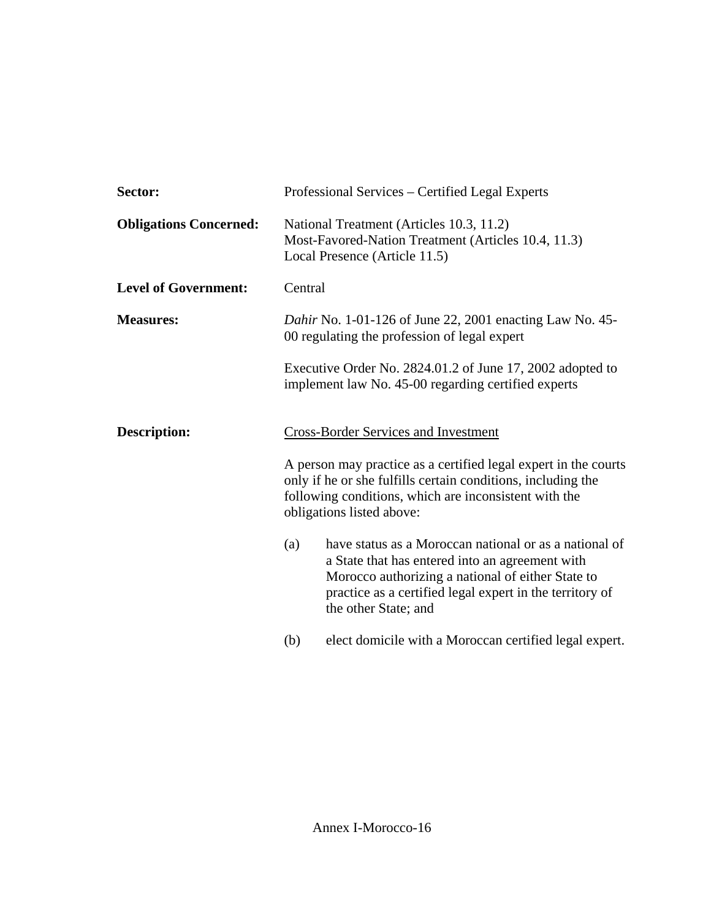| Sector:                       | Professional Services – Certified Legal Experts                                                                                                                                                                                                           |
|-------------------------------|-----------------------------------------------------------------------------------------------------------------------------------------------------------------------------------------------------------------------------------------------------------|
| <b>Obligations Concerned:</b> | National Treatment (Articles 10.3, 11.2)<br>Most-Favored-Nation Treatment (Articles 10.4, 11.3)<br>Local Presence (Article 11.5)                                                                                                                          |
| <b>Level of Government:</b>   | Central                                                                                                                                                                                                                                                   |
| <b>Measures:</b>              | <i>Dahir</i> No. 1-01-126 of June 22, 2001 enacting Law No. 45-<br>00 regulating the profession of legal expert                                                                                                                                           |
|                               | Executive Order No. 2824.01.2 of June 17, 2002 adopted to<br>implement law No. 45-00 regarding certified experts                                                                                                                                          |
| <b>Description:</b>           | <b>Cross-Border Services and Investment</b>                                                                                                                                                                                                               |
|                               | A person may practice as a certified legal expert in the courts<br>only if he or she fulfills certain conditions, including the<br>following conditions, which are inconsistent with the<br>obligations listed above:                                     |
|                               | have status as a Moroccan national or as a national of<br>(a)<br>a State that has entered into an agreement with<br>Morocco authorizing a national of either State to<br>practice as a certified legal expert in the territory of<br>the other State; and |
|                               | elect domicile with a Moroccan certified legal expert.<br>(b)                                                                                                                                                                                             |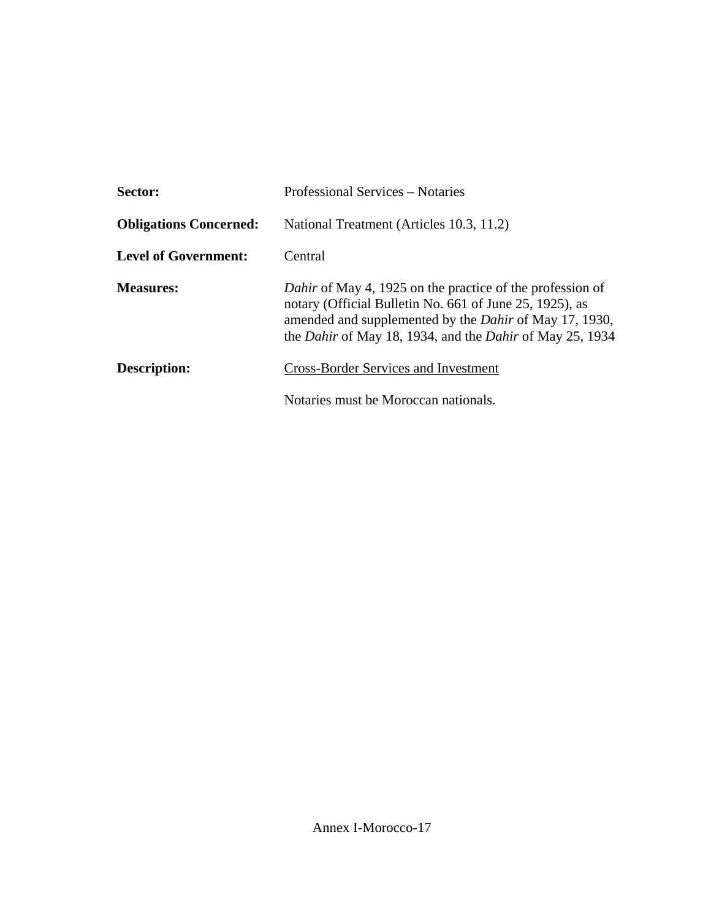| Sector:                       | Professional Services – Notaries                                                                                                                                                                                                                                |
|-------------------------------|-----------------------------------------------------------------------------------------------------------------------------------------------------------------------------------------------------------------------------------------------------------------|
| <b>Obligations Concerned:</b> | National Treatment (Articles 10.3, 11.2)                                                                                                                                                                                                                        |
| <b>Level of Government:</b>   | Central                                                                                                                                                                                                                                                         |
| <b>Measures:</b>              | Dahir of May 4, 1925 on the practice of the profession of<br>notary (Official Bulletin No. 661 of June 25, 1925), as<br>amended and supplemented by the <i>Dahir</i> of May 17, 1930,<br>the <i>Dahir</i> of May 18, 1934, and the <i>Dahir</i> of May 25, 1934 |
| Description:                  | <b>Cross-Border Services and Investment</b>                                                                                                                                                                                                                     |
|                               | Notaries must be Moroccan nationals.                                                                                                                                                                                                                            |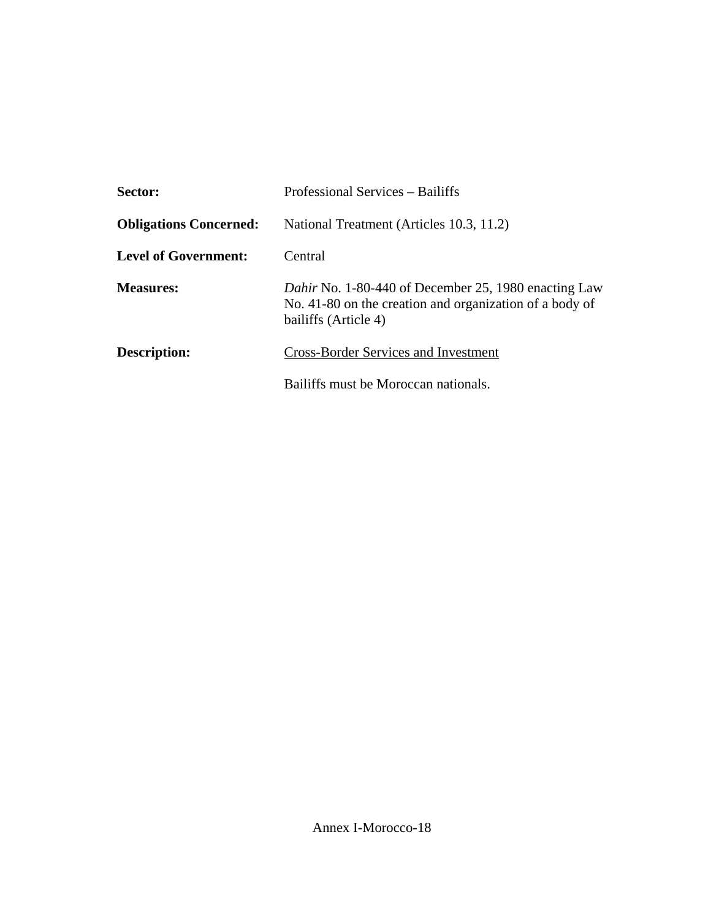| Sector:                       | Professional Services – Bailiffs                                                                                                        |
|-------------------------------|-----------------------------------------------------------------------------------------------------------------------------------------|
| <b>Obligations Concerned:</b> | National Treatment (Articles 10.3, 11.2)                                                                                                |
| <b>Level of Government:</b>   | Central                                                                                                                                 |
| <b>Measures:</b>              | Dahir No. 1-80-440 of December 25, 1980 enacting Law<br>No. 41-80 on the creation and organization of a body of<br>bailiffs (Article 4) |
| Description:                  | <b>Cross-Border Services and Investment</b>                                                                                             |
|                               | Bailiffs must be Moroccan nationals.                                                                                                    |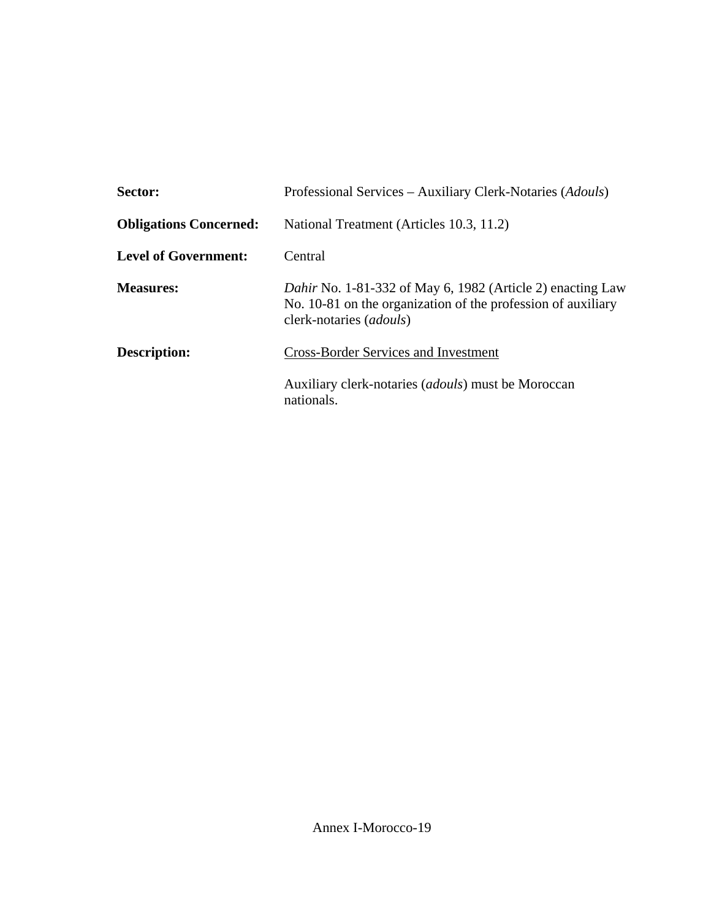| Sector:                       | Professional Services – Auxiliary Clerk-Notaries (Adouls)                                                                                                             |
|-------------------------------|-----------------------------------------------------------------------------------------------------------------------------------------------------------------------|
| <b>Obligations Concerned:</b> | National Treatment (Articles 10.3, 11.2)                                                                                                                              |
| Level of Government:          | Central                                                                                                                                                               |
| <b>Measures:</b>              | <i>Dahir</i> No. 1-81-332 of May 6, 1982 (Article 2) enacting Law<br>No. 10-81 on the organization of the profession of auxiliary<br>clerk-notaries ( <i>adouls</i> ) |
| Description:                  | <b>Cross-Border Services and Investment</b>                                                                                                                           |
|                               | Auxiliary clerk-notaries ( <i>adouls</i> ) must be Moroccan<br>nationals.                                                                                             |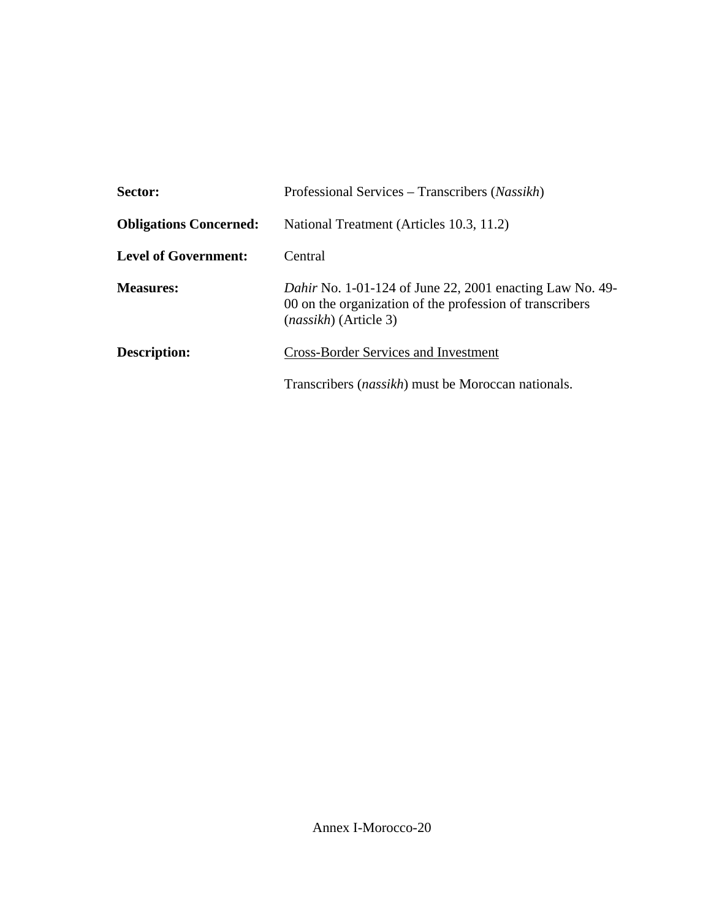| Sector:                       | Professional Services – Transcribers (Nassikh)                                                                                                              |
|-------------------------------|-------------------------------------------------------------------------------------------------------------------------------------------------------------|
| <b>Obligations Concerned:</b> | National Treatment (Articles 10.3, 11.2)                                                                                                                    |
| <b>Level of Government:</b>   | Central                                                                                                                                                     |
| <b>Measures:</b>              | <i>Dahir</i> No. 1-01-124 of June 22, 2001 enacting Law No. 49-<br>00 on the organization of the profession of transcribers<br><i>(nassikh)</i> (Article 3) |
| <b>Description:</b>           | <b>Cross-Border Services and Investment</b>                                                                                                                 |
|                               | Transcribers <i>(nassikh)</i> must be Moroccan nationals.                                                                                                   |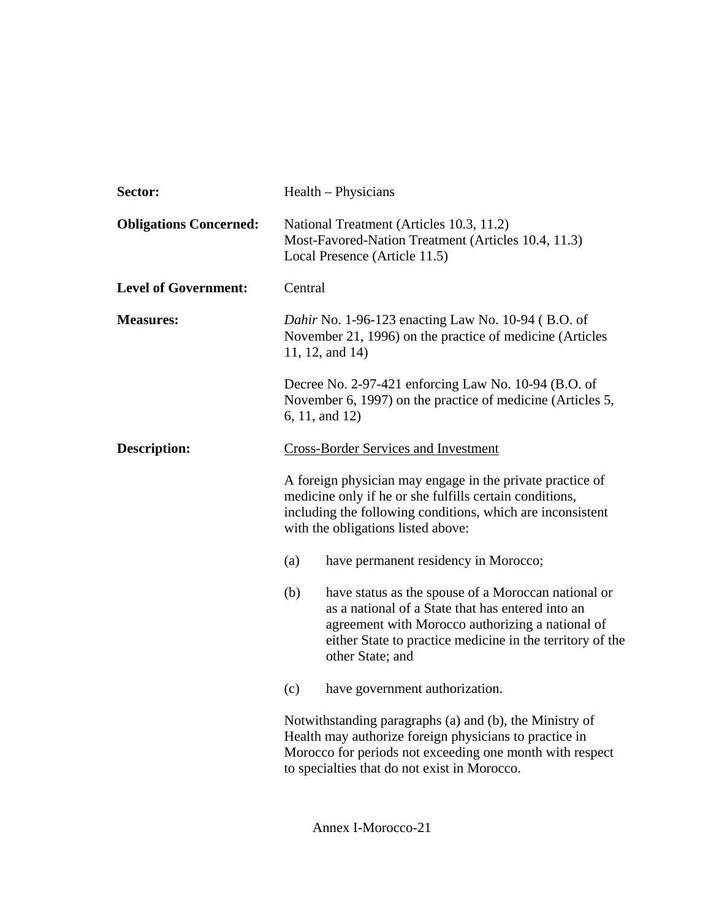| Sector:                       | Health - Physicians                                                                                                                                                                                                                                  |
|-------------------------------|------------------------------------------------------------------------------------------------------------------------------------------------------------------------------------------------------------------------------------------------------|
| <b>Obligations Concerned:</b> | National Treatment (Articles 10.3, 11.2)<br>Most-Favored-Nation Treatment (Articles 10.4, 11.3)<br>Local Presence (Article 11.5)                                                                                                                     |
| <b>Level of Government:</b>   | Central                                                                                                                                                                                                                                              |
| <b>Measures:</b>              | Dahir No. 1-96-123 enacting Law No. 10-94 (B.O. of<br>November 21, 1996) on the practice of medicine (Articles<br>11, 12, and 14)                                                                                                                    |
|                               | Decree No. 2-97-421 enforcing Law No. 10-94 (B.O. of<br>November 6, 1997) on the practice of medicine (Articles 5,<br>6, 11, and 12)                                                                                                                 |
| <b>Description:</b>           | <b>Cross-Border Services and Investment</b>                                                                                                                                                                                                          |
|                               | A foreign physician may engage in the private practice of<br>medicine only if he or she fulfills certain conditions,<br>including the following conditions, which are inconsistent<br>with the obligations listed above:                             |
|                               | (a)<br>have permanent residency in Morocco;                                                                                                                                                                                                          |
|                               | have status as the spouse of a Moroccan national or<br>(b)<br>as a national of a State that has entered into an<br>agreement with Morocco authorizing a national of<br>either State to practice medicine in the territory of the<br>other State; and |
|                               | (c)<br>have government authorization.                                                                                                                                                                                                                |
|                               | Notwithstanding paragraphs (a) and (b), the Ministry of<br>Health may authorize foreign physicians to practice in<br>Morocco for periods not exceeding one month with respect<br>to specialties that do not exist in Morocco.                        |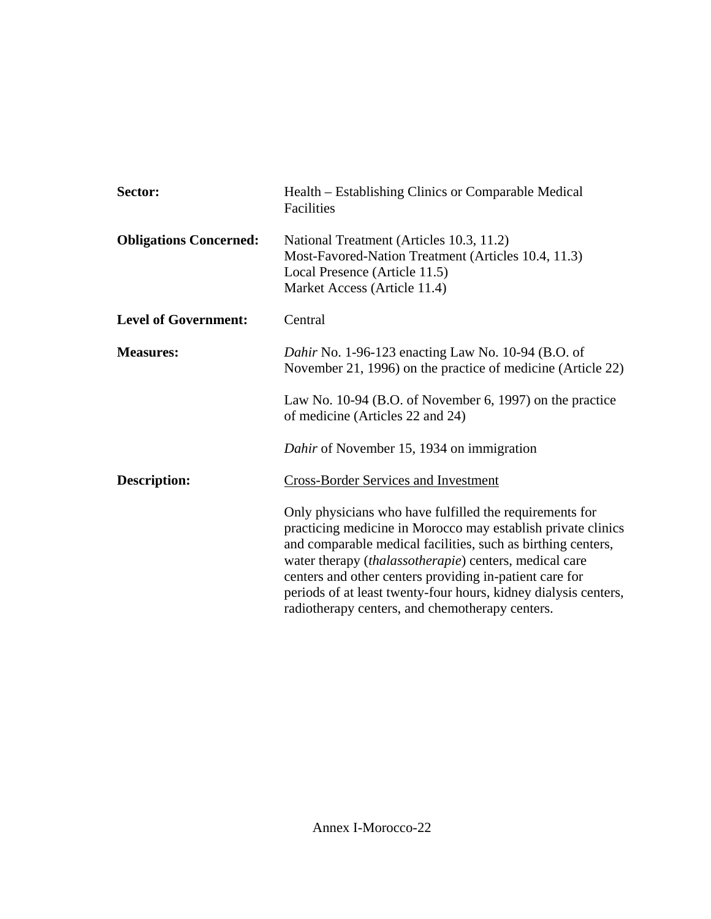| Sector:                       | Health – Establishing Clinics or Comparable Medical<br>Facilities                                                                                                                                                                                                                                                                                                                                                                  |
|-------------------------------|------------------------------------------------------------------------------------------------------------------------------------------------------------------------------------------------------------------------------------------------------------------------------------------------------------------------------------------------------------------------------------------------------------------------------------|
| <b>Obligations Concerned:</b> | National Treatment (Articles 10.3, 11.2)<br>Most-Favored-Nation Treatment (Articles 10.4, 11.3)<br>Local Presence (Article 11.5)<br>Market Access (Article 11.4)                                                                                                                                                                                                                                                                   |
| <b>Level of Government:</b>   | Central                                                                                                                                                                                                                                                                                                                                                                                                                            |
| <b>Measures:</b>              | Dahir No. 1-96-123 enacting Law No. 10-94 (B.O. of<br>November 21, 1996) on the practice of medicine (Article 22)                                                                                                                                                                                                                                                                                                                  |
|                               | Law No. 10-94 (B.O. of November 6, 1997) on the practice<br>of medicine (Articles 22 and 24)                                                                                                                                                                                                                                                                                                                                       |
|                               | Dahir of November 15, 1934 on immigration                                                                                                                                                                                                                                                                                                                                                                                          |
| <b>Description:</b>           | <b>Cross-Border Services and Investment</b>                                                                                                                                                                                                                                                                                                                                                                                        |
|                               | Only physicians who have fulfilled the requirements for<br>practicing medicine in Morocco may establish private clinics<br>and comparable medical facilities, such as birthing centers,<br>water therapy (thalassotherapie) centers, medical care<br>centers and other centers providing in-patient care for<br>periods of at least twenty-four hours, kidney dialysis centers,<br>radiotherapy centers, and chemotherapy centers. |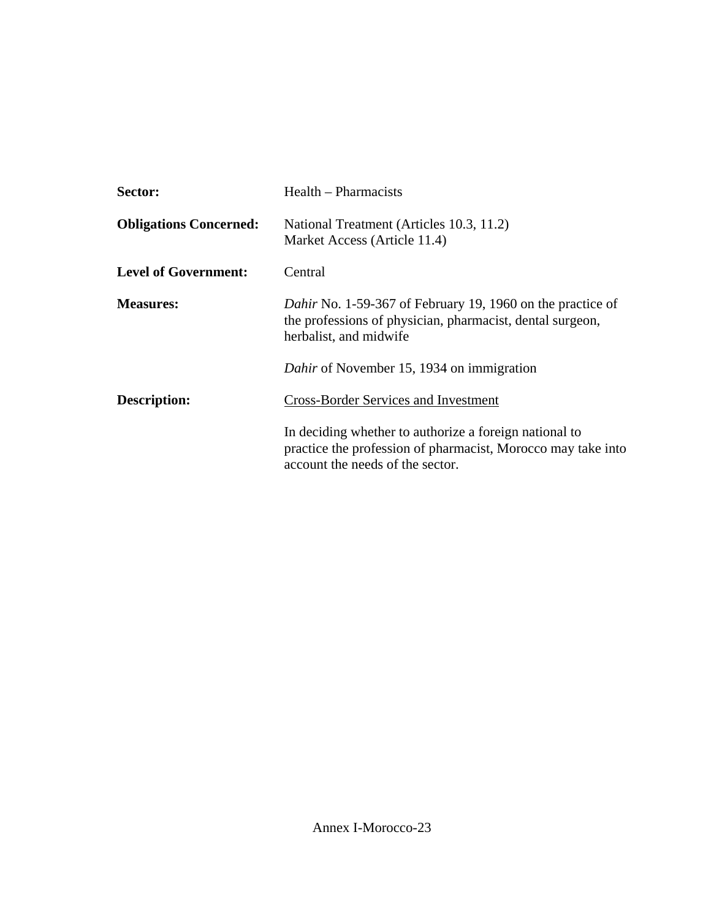| Sector:                       | Health – Pharmacists                                                                                                                                       |
|-------------------------------|------------------------------------------------------------------------------------------------------------------------------------------------------------|
| <b>Obligations Concerned:</b> | National Treatment (Articles 10.3, 11.2)<br>Market Access (Article 11.4)                                                                                   |
| <b>Level of Government:</b>   | Central                                                                                                                                                    |
| <b>Measures:</b>              | <i>Dahir</i> No. 1-59-367 of February 19, 1960 on the practice of<br>the professions of physician, pharmacist, dental surgeon,<br>herbalist, and midwife   |
|                               | Dahir of November 15, 1934 on immigration                                                                                                                  |
| Description:                  | <b>Cross-Border Services and Investment</b>                                                                                                                |
|                               | In deciding whether to authorize a foreign national to<br>practice the profession of pharmacist, Morocco may take into<br>account the needs of the sector. |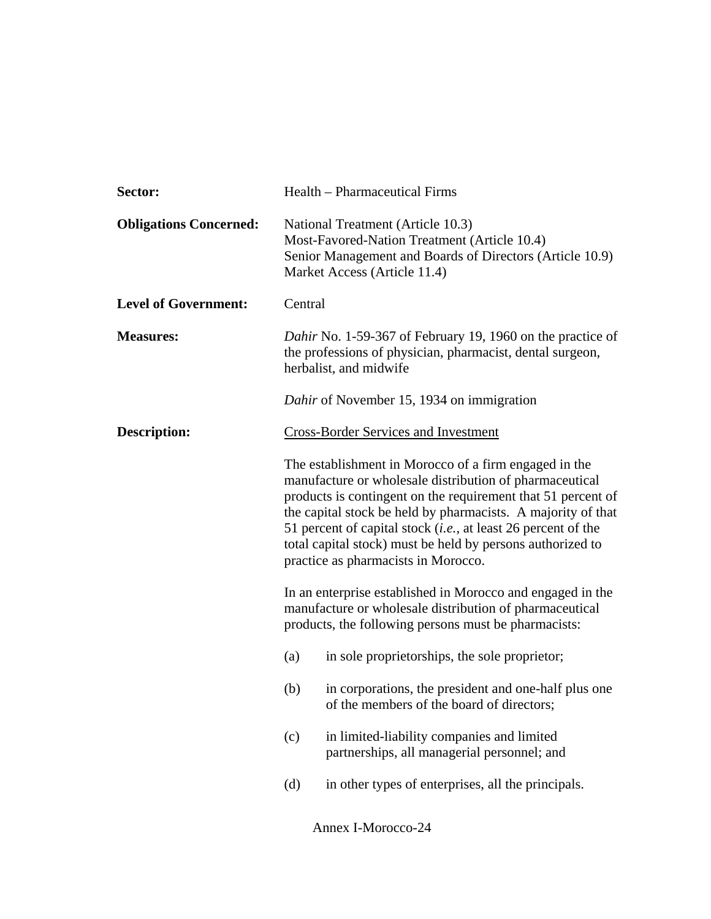| Sector:                       | Health - Pharmaceutical Firms                                                                                                                                                                                                                                                                                                                                                                                                   |
|-------------------------------|---------------------------------------------------------------------------------------------------------------------------------------------------------------------------------------------------------------------------------------------------------------------------------------------------------------------------------------------------------------------------------------------------------------------------------|
| <b>Obligations Concerned:</b> | National Treatment (Article 10.3)<br>Most-Favored-Nation Treatment (Article 10.4)<br>Senior Management and Boards of Directors (Article 10.9)<br>Market Access (Article 11.4)                                                                                                                                                                                                                                                   |
| <b>Level of Government:</b>   | Central                                                                                                                                                                                                                                                                                                                                                                                                                         |
| <b>Measures:</b>              | Dahir No. 1-59-367 of February 19, 1960 on the practice of<br>the professions of physician, pharmacist, dental surgeon,<br>herbalist, and midwife                                                                                                                                                                                                                                                                               |
|                               | Dahir of November 15, 1934 on immigration                                                                                                                                                                                                                                                                                                                                                                                       |
| <b>Description:</b>           | <b>Cross-Border Services and Investment</b>                                                                                                                                                                                                                                                                                                                                                                                     |
|                               | The establishment in Morocco of a firm engaged in the<br>manufacture or wholesale distribution of pharmaceutical<br>products is contingent on the requirement that 51 percent of<br>the capital stock be held by pharmacists. A majority of that<br>51 percent of capital stock ( <i>i.e.</i> , at least 26 percent of the<br>total capital stock) must be held by persons authorized to<br>practice as pharmacists in Morocco. |
|                               | In an enterprise established in Morocco and engaged in the<br>manufacture or wholesale distribution of pharmaceutical<br>products, the following persons must be pharmacists:                                                                                                                                                                                                                                                   |
|                               | in sole proprietorships, the sole proprietor;<br>(a)                                                                                                                                                                                                                                                                                                                                                                            |
|                               | in corporations, the president and one-half plus one<br>(b)<br>of the members of the board of directors;                                                                                                                                                                                                                                                                                                                        |
|                               | in limited-liability companies and limited<br>(c)<br>partnerships, all managerial personnel; and                                                                                                                                                                                                                                                                                                                                |
|                               | in other types of enterprises, all the principals.<br>(d)                                                                                                                                                                                                                                                                                                                                                                       |

Annex I-Morocco-24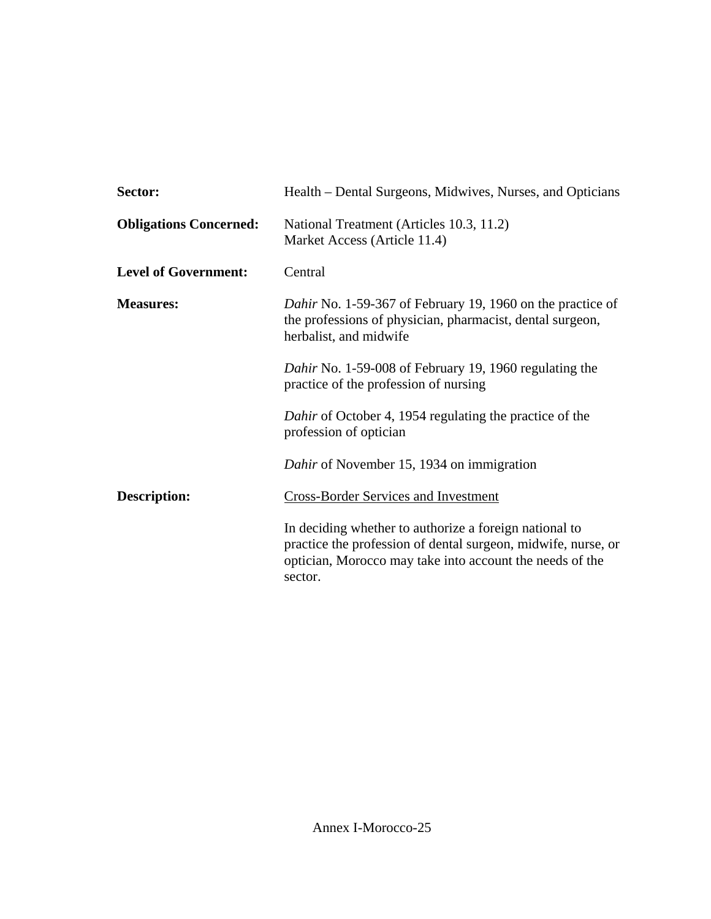| Sector:                       | Health – Dental Surgeons, Midwives, Nurses, and Opticians                                                                                                                                      |
|-------------------------------|------------------------------------------------------------------------------------------------------------------------------------------------------------------------------------------------|
| <b>Obligations Concerned:</b> | National Treatment (Articles 10.3, 11.2)<br>Market Access (Article 11.4)                                                                                                                       |
| <b>Level of Government:</b>   | Central                                                                                                                                                                                        |
| <b>Measures:</b>              | Dahir No. 1-59-367 of February 19, 1960 on the practice of<br>the professions of physician, pharmacist, dental surgeon,<br>herbalist, and midwife                                              |
|                               | Dahir No. 1-59-008 of February 19, 1960 regulating the<br>practice of the profession of nursing                                                                                                |
|                               | Dahir of October 4, 1954 regulating the practice of the<br>profession of optician                                                                                                              |
|                               | Dahir of November 15, 1934 on immigration                                                                                                                                                      |
| <b>Description:</b>           | <b>Cross-Border Services and Investment</b>                                                                                                                                                    |
|                               | In deciding whether to authorize a foreign national to<br>practice the profession of dental surgeon, midwife, nurse, or<br>optician, Morocco may take into account the needs of the<br>sector. |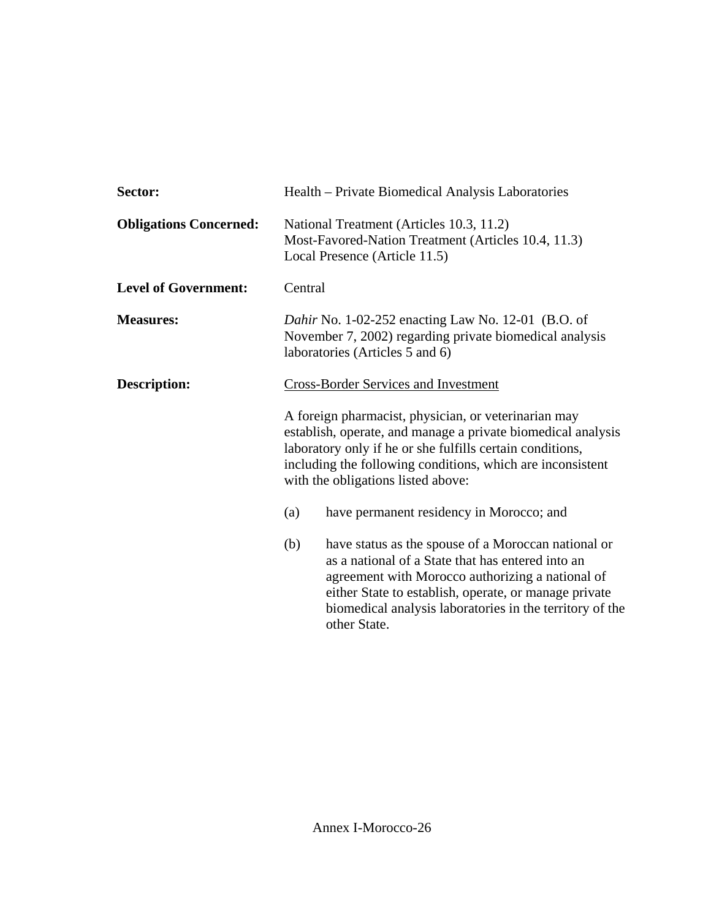| Sector:                       | Health – Private Biomedical Analysis Laboratories                                                                                                                                                                                                                                                        |  |
|-------------------------------|----------------------------------------------------------------------------------------------------------------------------------------------------------------------------------------------------------------------------------------------------------------------------------------------------------|--|
| <b>Obligations Concerned:</b> | National Treatment (Articles 10.3, 11.2)<br>Most-Favored-Nation Treatment (Articles 10.4, 11.3)<br>Local Presence (Article 11.5)                                                                                                                                                                         |  |
| <b>Level of Government:</b>   | Central                                                                                                                                                                                                                                                                                                  |  |
| <b>Measures:</b>              | <i>Dahir</i> No. 1-02-252 enacting Law No. 12-01 (B.O. of<br>November 7, 2002) regarding private biomedical analysis<br>laboratories (Articles 5 and 6)                                                                                                                                                  |  |
| Description:                  | <b>Cross-Border Services and Investment</b>                                                                                                                                                                                                                                                              |  |
|                               | A foreign pharmacist, physician, or veterinarian may<br>establish, operate, and manage a private biomedical analysis<br>laboratory only if he or she fulfills certain conditions,<br>including the following conditions, which are inconsistent<br>with the obligations listed above:                    |  |
|                               | have permanent residency in Morocco; and<br>(a)                                                                                                                                                                                                                                                          |  |
|                               | (b)<br>have status as the spouse of a Moroccan national or<br>as a national of a State that has entered into an<br>agreement with Morocco authorizing a national of<br>either State to establish, operate, or manage private<br>biomedical analysis laboratories in the territory of the<br>other State. |  |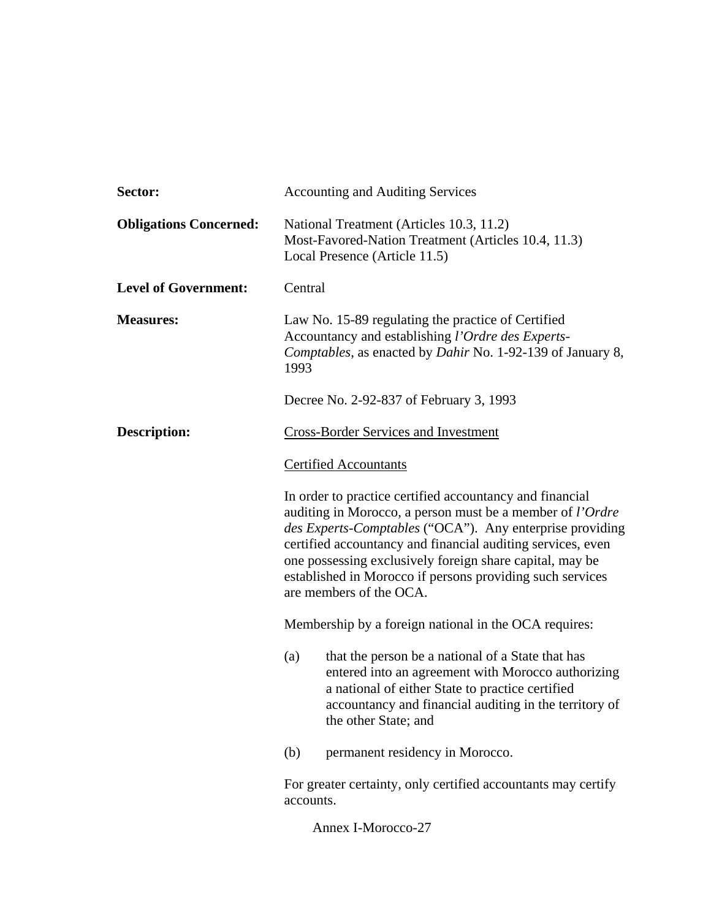| Sector:                       | <b>Accounting and Auditing Services</b>                                                                                                                                                                                                                                                                                                                                                                     |
|-------------------------------|-------------------------------------------------------------------------------------------------------------------------------------------------------------------------------------------------------------------------------------------------------------------------------------------------------------------------------------------------------------------------------------------------------------|
| <b>Obligations Concerned:</b> | National Treatment (Articles 10.3, 11.2)<br>Most-Favored-Nation Treatment (Articles 10.4, 11.3)<br>Local Presence (Article 11.5)                                                                                                                                                                                                                                                                            |
| <b>Level of Government:</b>   | Central                                                                                                                                                                                                                                                                                                                                                                                                     |
| <b>Measures:</b>              | Law No. 15-89 regulating the practice of Certified<br>Accountancy and establishing l'Ordre des Experts-<br>Comptables, as enacted by Dahir No. 1-92-139 of January 8,<br>1993                                                                                                                                                                                                                               |
|                               | Decree No. 2-92-837 of February 3, 1993                                                                                                                                                                                                                                                                                                                                                                     |
| <b>Description:</b>           | <b>Cross-Border Services and Investment</b>                                                                                                                                                                                                                                                                                                                                                                 |
|                               | <b>Certified Accountants</b>                                                                                                                                                                                                                                                                                                                                                                                |
|                               | In order to practice certified accountancy and financial<br>auditing in Morocco, a person must be a member of <i>l'Ordre</i><br>des Experts-Comptables ("OCA"). Any enterprise providing<br>certified accountancy and financial auditing services, even<br>one possessing exclusively foreign share capital, may be<br>established in Morocco if persons providing such services<br>are members of the OCA. |
|                               | Membership by a foreign national in the OCA requires:                                                                                                                                                                                                                                                                                                                                                       |
|                               | that the person be a national of a State that has<br>(a)<br>entered into an agreement with Morocco authorizing<br>a national of either State to practice certified<br>accountancy and financial auditing in the territory of<br>the other State; and                                                                                                                                                        |
|                               | permanent residency in Morocco.<br>(b)                                                                                                                                                                                                                                                                                                                                                                      |
|                               | For greater certainty, only certified accountants may certify<br>accounts.                                                                                                                                                                                                                                                                                                                                  |
|                               | Annex I-Morocco-27                                                                                                                                                                                                                                                                                                                                                                                          |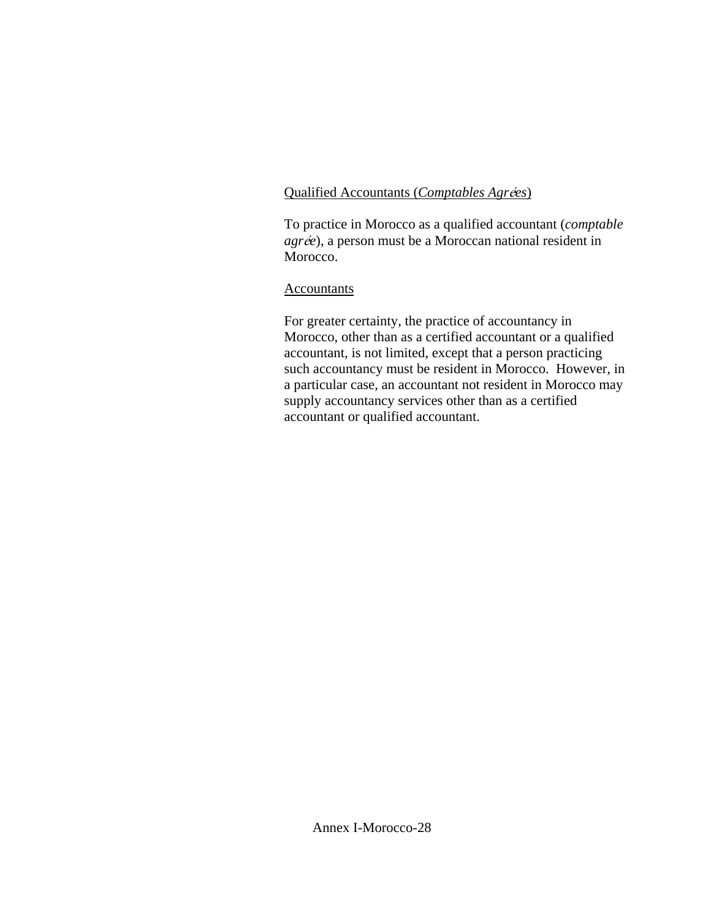## Qualified Accountants (*Comptables Agrées*)

To practice in Morocco as a qualified accountant (*comptable agrée*), a person must be a Moroccan national resident in Morocco.

## Accountants

For greater certainty, the practice of accountancy in Morocco, other than as a certified accountant or a qualified accountant, is not limited, except that a person practicing such accountancy must be resident in Morocco. However, in a particular case, an accountant not resident in Morocco may supply accountancy services other than as a certified accountant or qualified accountant.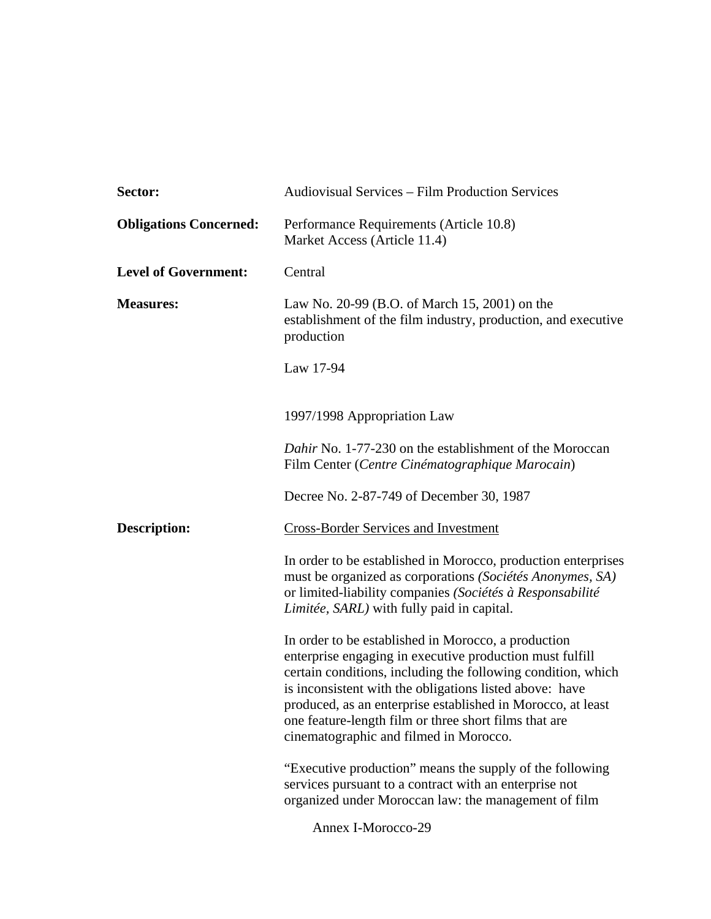| Sector:                       | <b>Audiovisual Services – Film Production Services</b>                                                                                                                                                                                                                                                                                                                                                       |
|-------------------------------|--------------------------------------------------------------------------------------------------------------------------------------------------------------------------------------------------------------------------------------------------------------------------------------------------------------------------------------------------------------------------------------------------------------|
| <b>Obligations Concerned:</b> | Performance Requirements (Article 10.8)<br>Market Access (Article 11.4)                                                                                                                                                                                                                                                                                                                                      |
| <b>Level of Government:</b>   | Central                                                                                                                                                                                                                                                                                                                                                                                                      |
| <b>Measures:</b>              | Law No. 20-99 (B.O. of March 15, 2001) on the<br>establishment of the film industry, production, and executive<br>production                                                                                                                                                                                                                                                                                 |
|                               | Law 17-94                                                                                                                                                                                                                                                                                                                                                                                                    |
|                               | 1997/1998 Appropriation Law                                                                                                                                                                                                                                                                                                                                                                                  |
|                               | Dahir No. 1-77-230 on the establishment of the Moroccan<br>Film Center (Centre Cinématographique Marocain)                                                                                                                                                                                                                                                                                                   |
|                               | Decree No. 2-87-749 of December 30, 1987                                                                                                                                                                                                                                                                                                                                                                     |
| <b>Description:</b>           | <b>Cross-Border Services and Investment</b>                                                                                                                                                                                                                                                                                                                                                                  |
|                               | In order to be established in Morocco, production enterprises<br>must be organized as corporations (Sociétés Anonymes, SA)<br>or limited-liability companies (Sociétés à Responsabilité<br>Limitée, SARL) with fully paid in capital.                                                                                                                                                                        |
|                               | In order to be established in Morocco, a production<br>enterprise engaging in executive production must fulfill<br>certain conditions, including the following condition, which<br>is inconsistent with the obligations listed above: have<br>produced, as an enterprise established in Morocco, at least<br>one feature-length film or three short films that are<br>cinematographic and filmed in Morocco. |
|                               | "Executive production" means the supply of the following<br>services pursuant to a contract with an enterprise not<br>organized under Moroccan law: the management of film                                                                                                                                                                                                                                   |
|                               |                                                                                                                                                                                                                                                                                                                                                                                                              |

Annex I-Morocco-29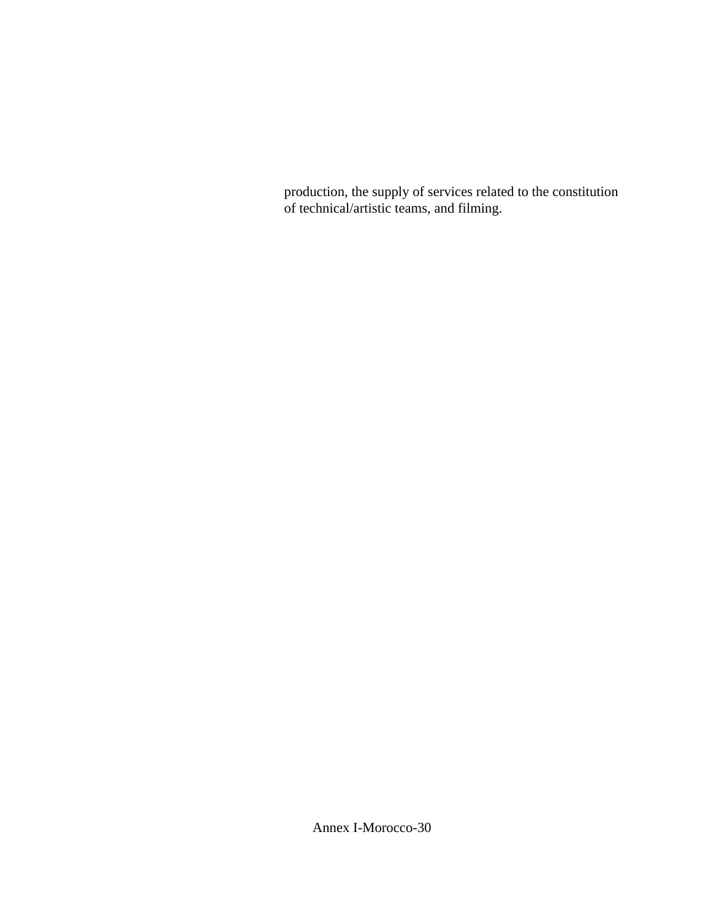production, the supply of services related to the constitution of technical/artistic teams, and filming.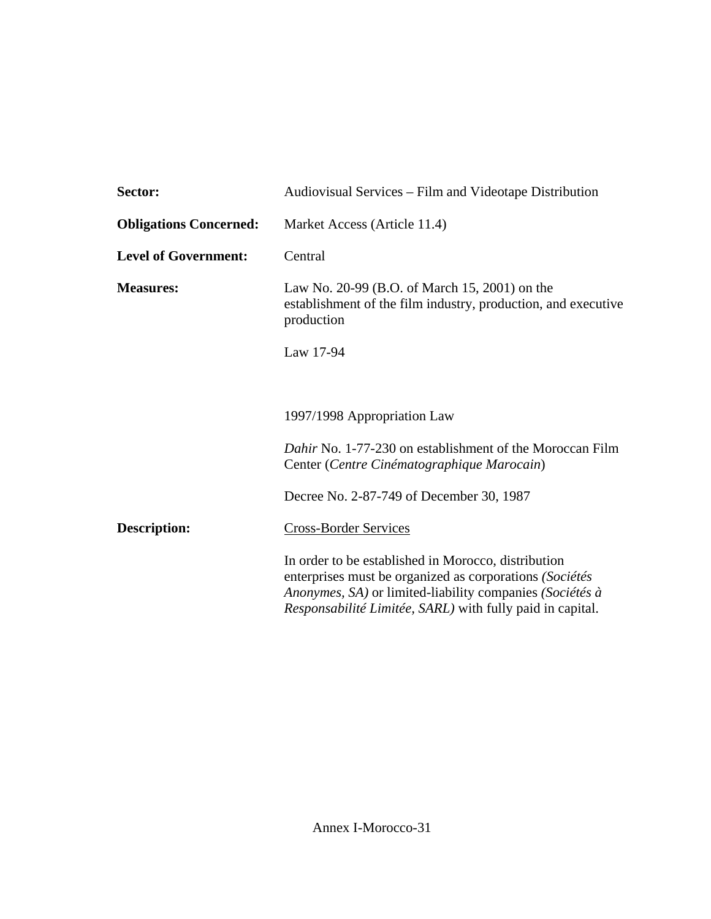| Sector:                       | Audiovisual Services – Film and Videotape Distribution                                                                                                                                                                                  |  |
|-------------------------------|-----------------------------------------------------------------------------------------------------------------------------------------------------------------------------------------------------------------------------------------|--|
| <b>Obligations Concerned:</b> | Market Access (Article 11.4)                                                                                                                                                                                                            |  |
| <b>Level of Government:</b>   | Central                                                                                                                                                                                                                                 |  |
| <b>Measures:</b>              | Law No. 20-99 (B.O. of March 15, 2001) on the<br>establishment of the film industry, production, and executive<br>production                                                                                                            |  |
|                               | Law 17-94                                                                                                                                                                                                                               |  |
|                               |                                                                                                                                                                                                                                         |  |
|                               | 1997/1998 Appropriation Law                                                                                                                                                                                                             |  |
|                               | <i>Dahir</i> No. 1-77-230 on establishment of the Moroccan Film<br>Center (Centre Cinématographique Marocain)                                                                                                                           |  |
|                               | Decree No. 2-87-749 of December 30, 1987                                                                                                                                                                                                |  |
| <b>Description:</b>           | <b>Cross-Border Services</b>                                                                                                                                                                                                            |  |
|                               | In order to be established in Morocco, distribution<br>enterprises must be organized as corporations (Sociétés<br>Anonymes, SA) or limited-liability companies (Sociétés à<br>Responsabilité Limitée, SARL) with fully paid in capital. |  |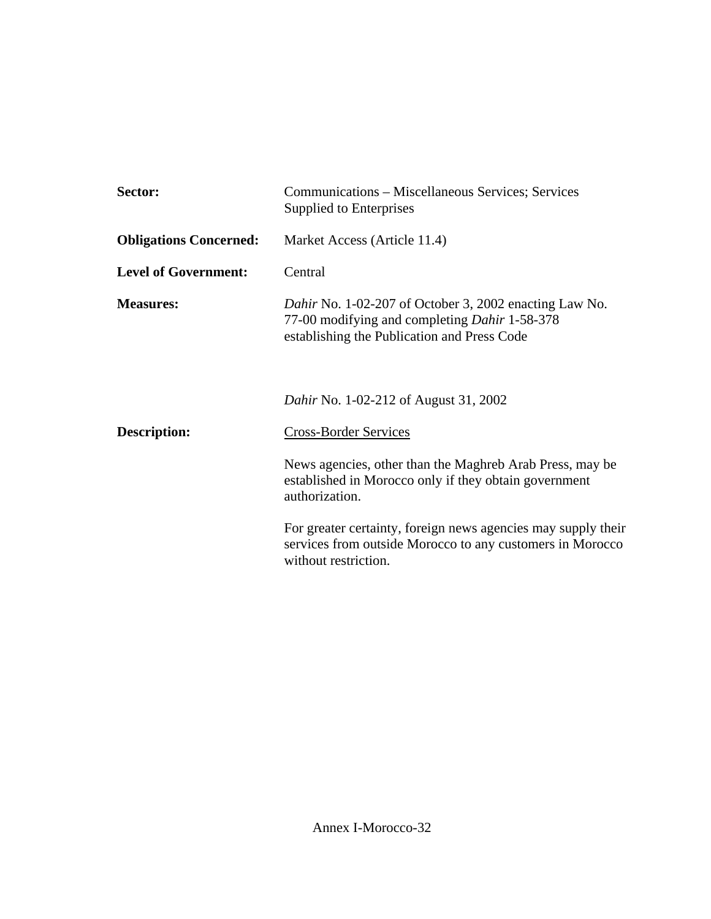| Sector:                       | Communications – Miscellaneous Services; Services<br>Supplied to Enterprises                                                                                  |
|-------------------------------|---------------------------------------------------------------------------------------------------------------------------------------------------------------|
| <b>Obligations Concerned:</b> | Market Access (Article 11.4)                                                                                                                                  |
| <b>Level of Government:</b>   | Central                                                                                                                                                       |
| <b>Measures:</b>              | Dahir No. 1-02-207 of October 3, 2002 enacting Law No.<br>77-00 modifying and completing <i>Dahir</i> 1-58-378<br>establishing the Publication and Press Code |
|                               | <i>Dahir</i> No. 1-02-212 of August 31, 2002                                                                                                                  |
| Description:                  | <b>Cross-Border Services</b>                                                                                                                                  |
|                               | News agencies, other than the Maghreb Arab Press, may be<br>established in Morocco only if they obtain government<br>authorization.                           |
|                               | For greater certainty, foreign news agencies may supply their<br>services from outside Morocco to any customers in Morocco<br>without restriction.            |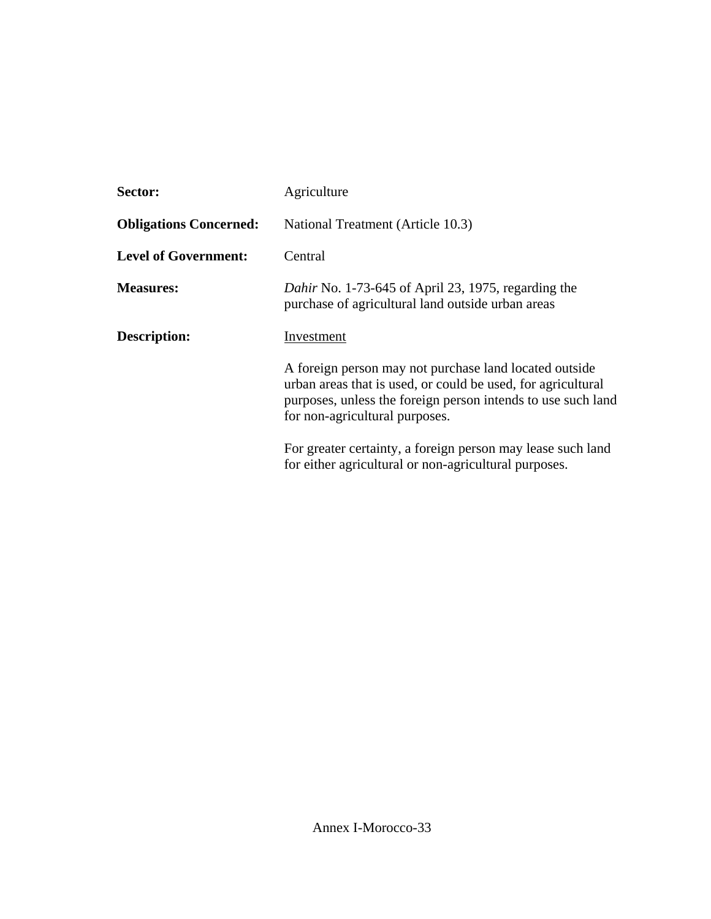| Sector:                       | Agriculture                                                                                                                                                                                                              |  |
|-------------------------------|--------------------------------------------------------------------------------------------------------------------------------------------------------------------------------------------------------------------------|--|
| <b>Obligations Concerned:</b> | National Treatment (Article 10.3)                                                                                                                                                                                        |  |
| <b>Level of Government:</b>   | Central                                                                                                                                                                                                                  |  |
| <b>Measures:</b>              | Dahir No. 1-73-645 of April 23, 1975, regarding the<br>purchase of agricultural land outside urban areas                                                                                                                 |  |
| Description:                  | Investment                                                                                                                                                                                                               |  |
|                               | A foreign person may not purchase land located outside<br>urban areas that is used, or could be used, for agricultural<br>purposes, unless the foreign person intends to use such land<br>for non-agricultural purposes. |  |
|                               | For greater certainty, a foreign person may lease such land<br>for either agricultural or non-agricultural purposes.                                                                                                     |  |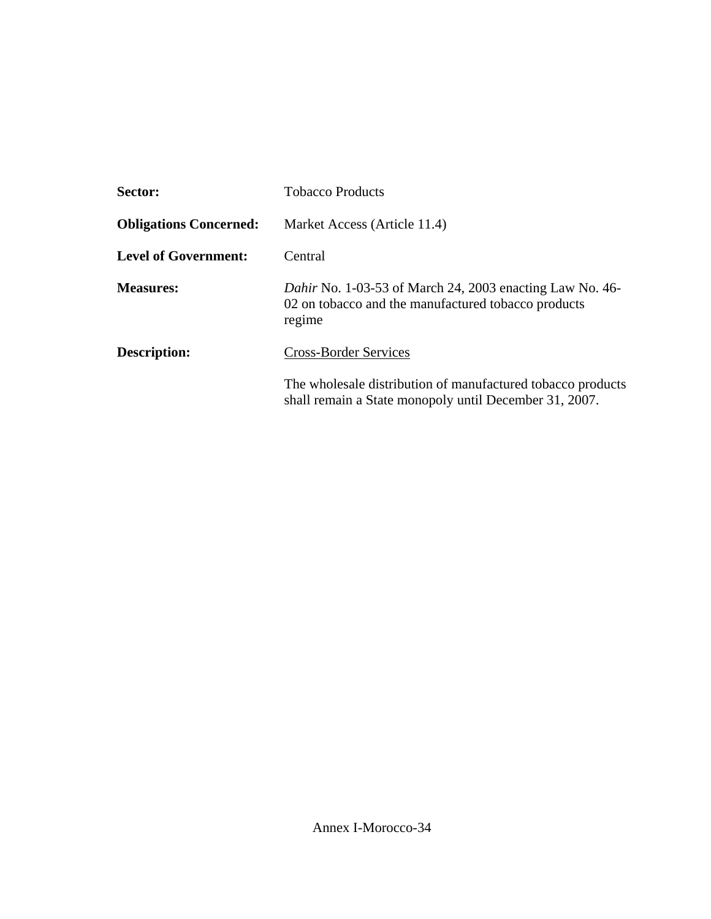| Sector:                       | <b>Tobacco Products</b>                                                                                                          |
|-------------------------------|----------------------------------------------------------------------------------------------------------------------------------|
| <b>Obligations Concerned:</b> | Market Access (Article 11.4)                                                                                                     |
| <b>Level of Government:</b>   | Central                                                                                                                          |
| <b>Measures:</b>              | <i>Dahir</i> No. 1-03-53 of March 24, 2003 enacting Law No. 46-<br>02 on tobacco and the manufactured tobacco products<br>regime |
| Description:                  | <b>Cross-Border Services</b>                                                                                                     |
|                               | The wholesale distribution of manufactured tobacco products<br>shall remain a State monopoly until December 31, 2007.            |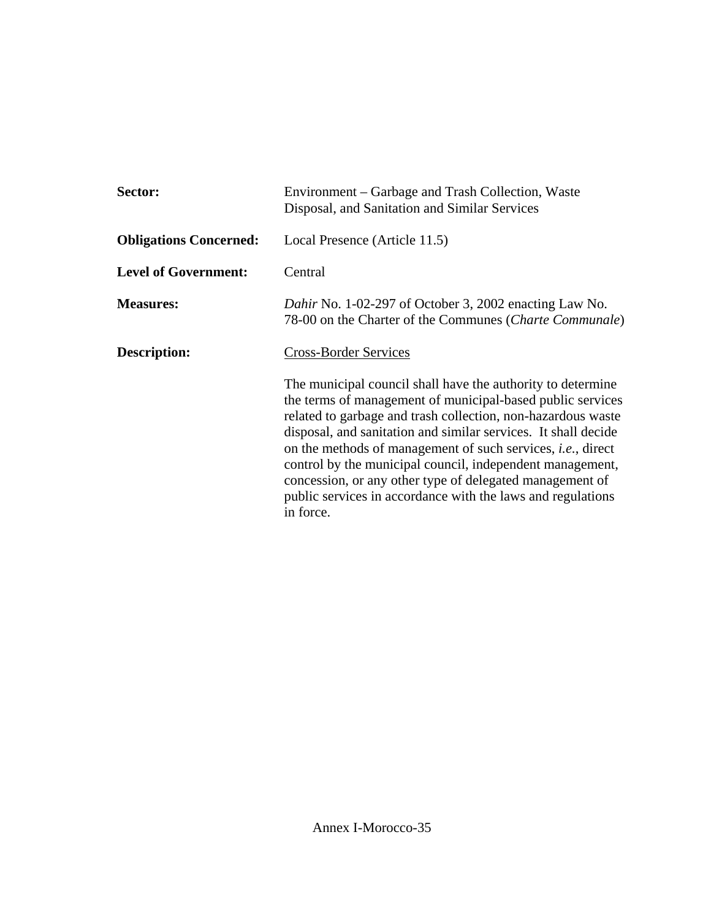| Sector:                       | Environment – Garbage and Trash Collection, Waste<br>Disposal, and Sanitation and Similar Services                                                                                                                                                                                                                                                                                                                                                                                                                                      |
|-------------------------------|-----------------------------------------------------------------------------------------------------------------------------------------------------------------------------------------------------------------------------------------------------------------------------------------------------------------------------------------------------------------------------------------------------------------------------------------------------------------------------------------------------------------------------------------|
| <b>Obligations Concerned:</b> | Local Presence (Article 11.5)                                                                                                                                                                                                                                                                                                                                                                                                                                                                                                           |
| <b>Level of Government:</b>   | Central                                                                                                                                                                                                                                                                                                                                                                                                                                                                                                                                 |
| <b>Measures:</b>              | Dahir No. 1-02-297 of October 3, 2002 enacting Law No.<br>78-00 on the Charter of the Communes (Charte Communale)                                                                                                                                                                                                                                                                                                                                                                                                                       |
| Description:                  | <b>Cross-Border Services</b>                                                                                                                                                                                                                                                                                                                                                                                                                                                                                                            |
|                               | The municipal council shall have the authority to determine<br>the terms of management of municipal-based public services<br>related to garbage and trash collection, non-hazardous waste<br>disposal, and sanitation and similar services. It shall decide<br>on the methods of management of such services, <i>i.e.</i> , direct<br>control by the municipal council, independent management,<br>concession, or any other type of delegated management of<br>public services in accordance with the laws and regulations<br>in force. |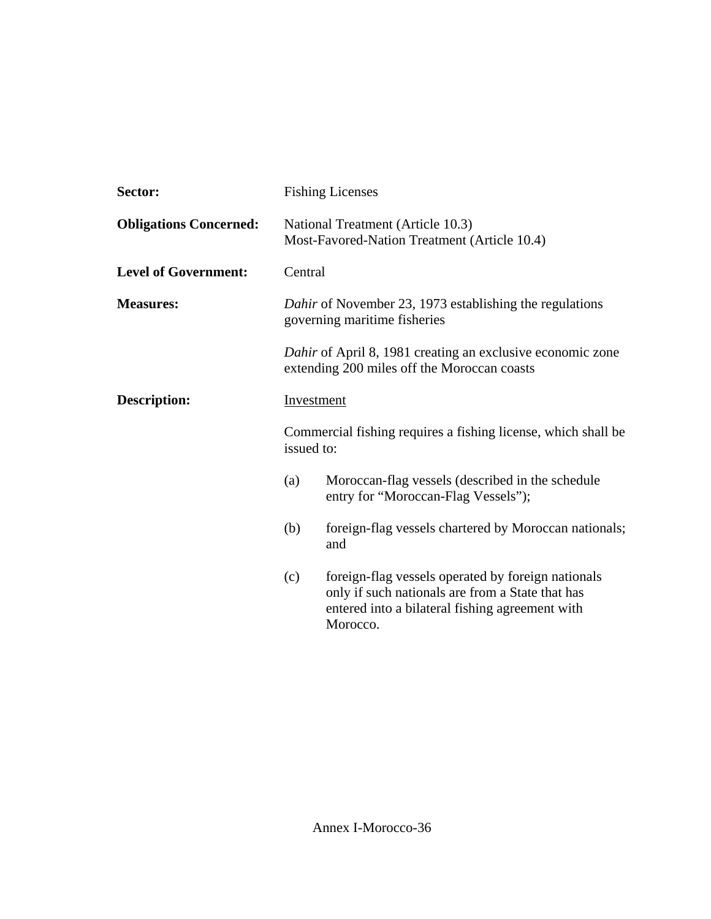| Sector:                       |                                                                                         | <b>Fishing Licenses</b>                                                                                                                                               |
|-------------------------------|-----------------------------------------------------------------------------------------|-----------------------------------------------------------------------------------------------------------------------------------------------------------------------|
| <b>Obligations Concerned:</b> |                                                                                         | National Treatment (Article 10.3)<br>Most-Favored-Nation Treatment (Article 10.4)                                                                                     |
| <b>Level of Government:</b>   | Central                                                                                 |                                                                                                                                                                       |
| <b>Measures:</b>              | Dahir of November 23, 1973 establishing the regulations<br>governing maritime fisheries |                                                                                                                                                                       |
|                               |                                                                                         | Dahir of April 8, 1981 creating an exclusive economic zone<br>extending 200 miles off the Moroccan coasts                                                             |
| <b>Description:</b>           | <b>Investment</b>                                                                       |                                                                                                                                                                       |
|                               | issued to:                                                                              | Commercial fishing requires a fishing license, which shall be                                                                                                         |
|                               | (a)                                                                                     | Moroccan-flag vessels (described in the schedule<br>entry for "Moroccan-Flag Vessels");                                                                               |
|                               | (b)                                                                                     | foreign-flag vessels chartered by Moroccan nationals;<br>and                                                                                                          |
|                               | (c)                                                                                     | foreign-flag vessels operated by foreign nationals<br>only if such nationals are from a State that has<br>entered into a bilateral fishing agreement with<br>Morocco. |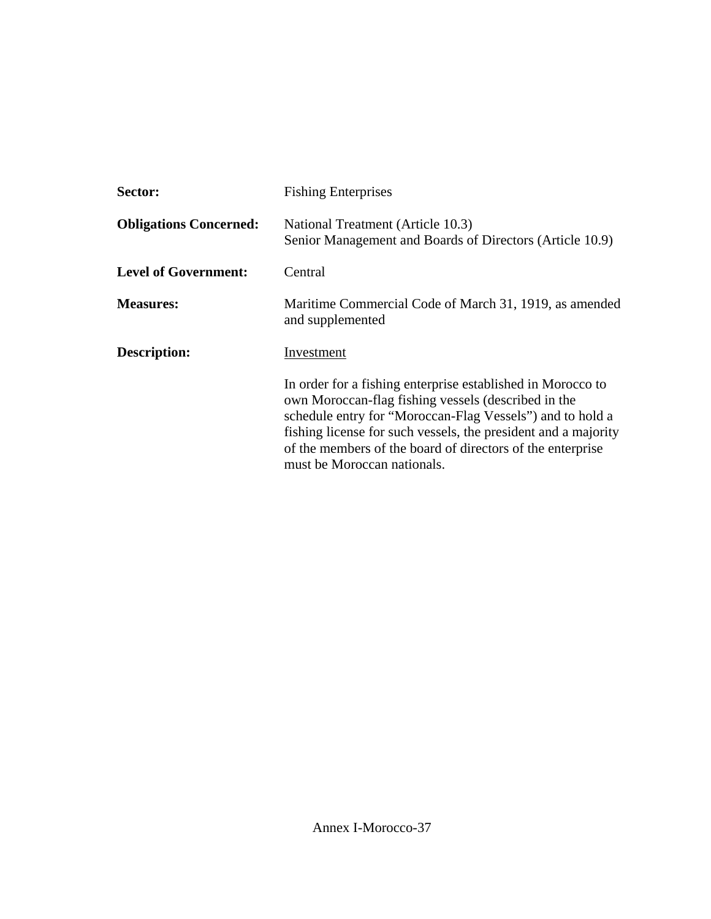| Sector:                       | <b>Fishing Enterprises</b>                                                                                                                                                                                                                                                                                                                     |
|-------------------------------|------------------------------------------------------------------------------------------------------------------------------------------------------------------------------------------------------------------------------------------------------------------------------------------------------------------------------------------------|
| <b>Obligations Concerned:</b> | National Treatment (Article 10.3)<br>Senior Management and Boards of Directors (Article 10.9)                                                                                                                                                                                                                                                  |
| <b>Level of Government:</b>   | Central                                                                                                                                                                                                                                                                                                                                        |
| <b>Measures:</b>              | Maritime Commercial Code of March 31, 1919, as amended<br>and supplemented                                                                                                                                                                                                                                                                     |
| Description:                  | Investment                                                                                                                                                                                                                                                                                                                                     |
|                               | In order for a fishing enterprise established in Morocco to<br>own Moroccan-flag fishing vessels (described in the<br>schedule entry for "Moroccan-Flag Vessels") and to hold a<br>fishing license for such vessels, the president and a majority<br>of the members of the board of directors of the enterprise<br>must be Moroccan nationals. |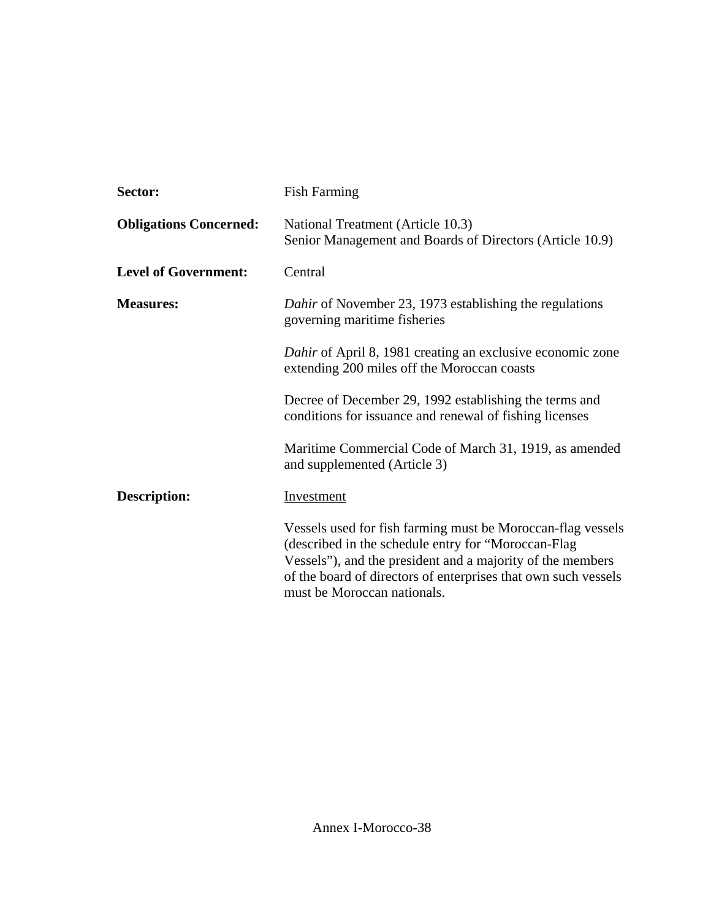| Sector:                       | <b>Fish Farming</b>                                                                                                                                                                                                                                                               |
|-------------------------------|-----------------------------------------------------------------------------------------------------------------------------------------------------------------------------------------------------------------------------------------------------------------------------------|
| <b>Obligations Concerned:</b> | National Treatment (Article 10.3)<br>Senior Management and Boards of Directors (Article 10.9)                                                                                                                                                                                     |
| <b>Level of Government:</b>   | Central                                                                                                                                                                                                                                                                           |
| <b>Measures:</b>              | Dahir of November 23, 1973 establishing the regulations<br>governing maritime fisheries                                                                                                                                                                                           |
|                               | Dahir of April 8, 1981 creating an exclusive economic zone<br>extending 200 miles off the Moroccan coasts                                                                                                                                                                         |
|                               | Decree of December 29, 1992 establishing the terms and<br>conditions for issuance and renewal of fishing licenses                                                                                                                                                                 |
|                               | Maritime Commercial Code of March 31, 1919, as amended<br>and supplemented (Article 3)                                                                                                                                                                                            |
| Description:                  | <b>Investment</b>                                                                                                                                                                                                                                                                 |
|                               | Vessels used for fish farming must be Moroccan-flag vessels<br>(described in the schedule entry for "Moroccan-Flag<br>Vessels"), and the president and a majority of the members<br>of the board of directors of enterprises that own such vessels<br>must be Moroccan nationals. |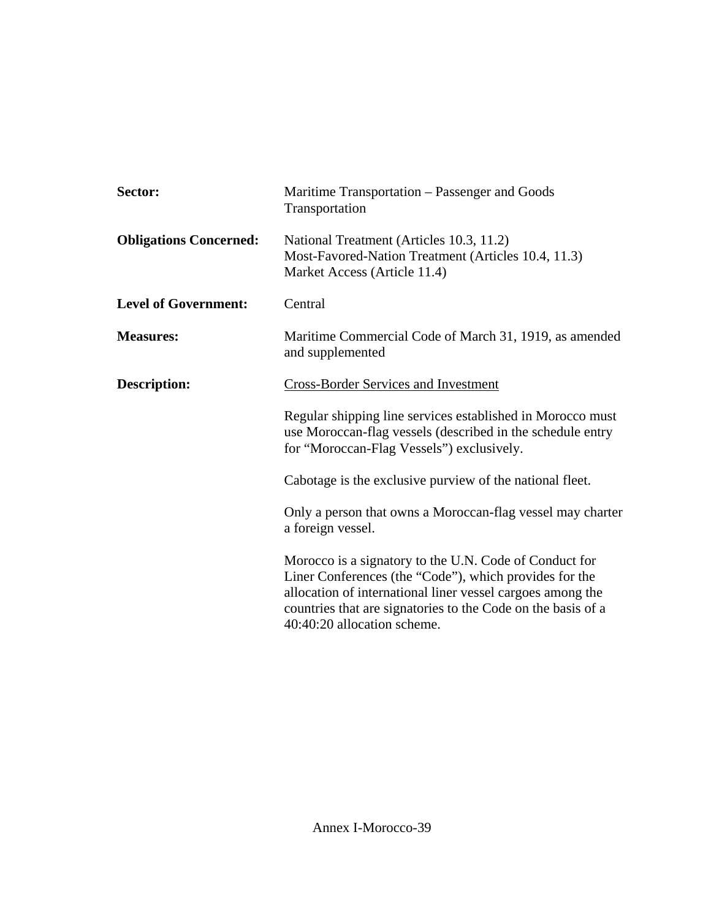| Sector:                       | Maritime Transportation – Passenger and Goods<br>Transportation                                                                                                                                                                                                               |
|-------------------------------|-------------------------------------------------------------------------------------------------------------------------------------------------------------------------------------------------------------------------------------------------------------------------------|
| <b>Obligations Concerned:</b> | National Treatment (Articles 10.3, 11.2)<br>Most-Favored-Nation Treatment (Articles 10.4, 11.3)<br>Market Access (Article 11.4)                                                                                                                                               |
| <b>Level of Government:</b>   | Central                                                                                                                                                                                                                                                                       |
| <b>Measures:</b>              | Maritime Commercial Code of March 31, 1919, as amended<br>and supplemented                                                                                                                                                                                                    |
| <b>Description:</b>           | <b>Cross-Border Services and Investment</b>                                                                                                                                                                                                                                   |
|                               | Regular shipping line services established in Morocco must<br>use Moroccan-flag vessels (described in the schedule entry<br>for "Moroccan-Flag Vessels") exclusively.                                                                                                         |
|                               | Cabotage is the exclusive purview of the national fleet.                                                                                                                                                                                                                      |
|                               | Only a person that owns a Moroccan-flag vessel may charter<br>a foreign vessel.                                                                                                                                                                                               |
|                               | Morocco is a signatory to the U.N. Code of Conduct for<br>Liner Conferences (the "Code"), which provides for the<br>allocation of international liner vessel cargoes among the<br>countries that are signatories to the Code on the basis of a<br>40:40:20 allocation scheme. |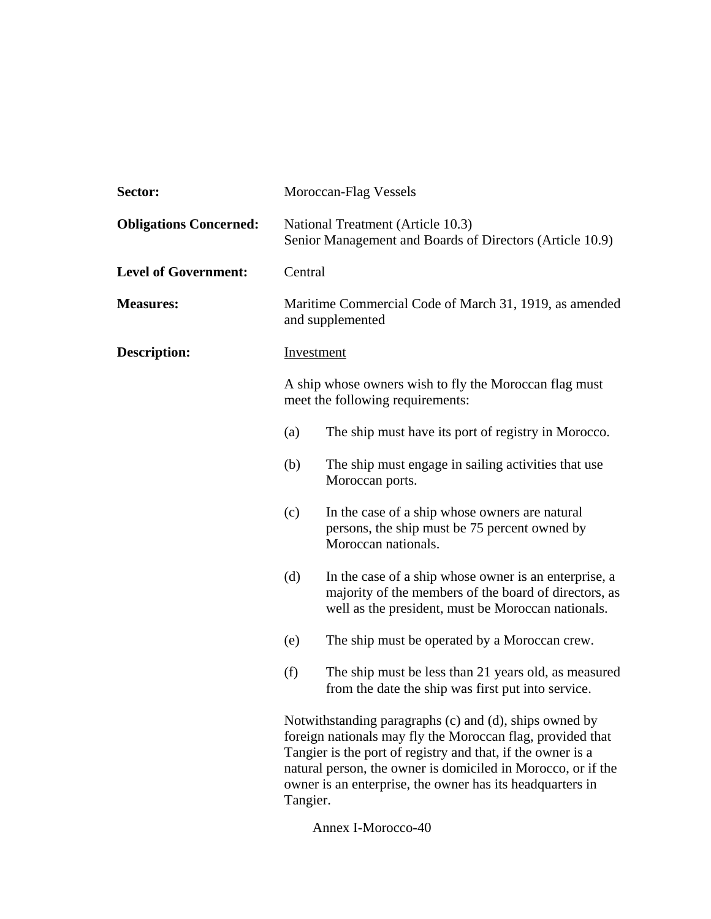| Sector:                       |            | Moroccan-Flag Vessels                                                                                                                                                                                                                                                                                            |
|-------------------------------|------------|------------------------------------------------------------------------------------------------------------------------------------------------------------------------------------------------------------------------------------------------------------------------------------------------------------------|
| <b>Obligations Concerned:</b> |            | National Treatment (Article 10.3)<br>Senior Management and Boards of Directors (Article 10.9)                                                                                                                                                                                                                    |
| <b>Level of Government:</b>   | Central    |                                                                                                                                                                                                                                                                                                                  |
| <b>Measures:</b>              |            | Maritime Commercial Code of March 31, 1919, as amended<br>and supplemented                                                                                                                                                                                                                                       |
| <b>Description:</b>           | Investment |                                                                                                                                                                                                                                                                                                                  |
|                               |            | A ship whose owners wish to fly the Moroccan flag must<br>meet the following requirements:                                                                                                                                                                                                                       |
|                               | (a)        | The ship must have its port of registry in Morocco.                                                                                                                                                                                                                                                              |
|                               | (b)        | The ship must engage in sailing activities that use<br>Moroccan ports.                                                                                                                                                                                                                                           |
|                               | (c)        | In the case of a ship whose owners are natural<br>persons, the ship must be 75 percent owned by<br>Moroccan nationals.                                                                                                                                                                                           |
|                               | (d)        | In the case of a ship whose owner is an enterprise, a<br>majority of the members of the board of directors, as<br>well as the president, must be Moroccan nationals.                                                                                                                                             |
|                               | (e)        | The ship must be operated by a Moroccan crew.                                                                                                                                                                                                                                                                    |
|                               | (f)        | The ship must be less than 21 years old, as measured<br>from the date the ship was first put into service.                                                                                                                                                                                                       |
|                               | Tangier.   | Notwithstanding paragraphs (c) and (d), ships owned by<br>foreign nationals may fly the Moroccan flag, provided that<br>Tangier is the port of registry and that, if the owner is a<br>natural person, the owner is domiciled in Morocco, or if the<br>owner is an enterprise, the owner has its headquarters in |

Annex I-Morocco-40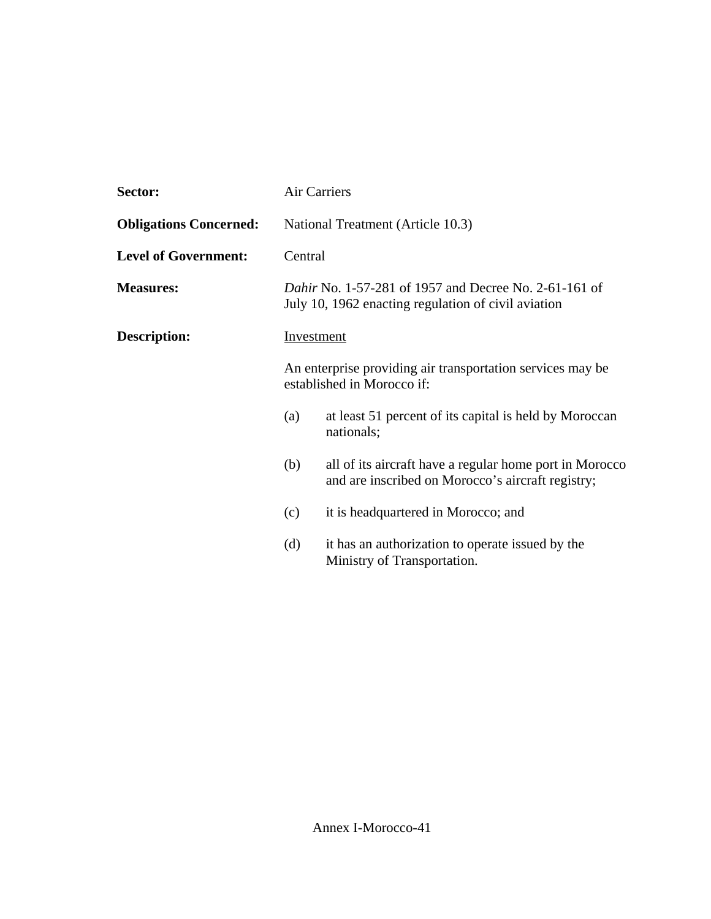| Sector:                       |         | Air Carriers                                                                                                 |
|-------------------------------|---------|--------------------------------------------------------------------------------------------------------------|
| <b>Obligations Concerned:</b> |         | National Treatment (Article 10.3)                                                                            |
| <b>Level of Government:</b>   | Central |                                                                                                              |
| <b>Measures:</b>              |         | Dahir No. 1-57-281 of 1957 and Decree No. 2-61-161 of<br>July 10, 1962 enacting regulation of civil aviation |
| <b>Description:</b>           |         | <b>Investment</b>                                                                                            |
|                               |         | An enterprise providing air transportation services may be<br>established in Morocco if:                     |
|                               | (a)     | at least 51 percent of its capital is held by Moroccan<br>nationals;                                         |
|                               | (b)     | all of its aircraft have a regular home port in Morocco<br>and are inscribed on Morocco's aircraft registry; |
|                               | (c)     | it is headquartered in Morocco; and                                                                          |
|                               | (d)     | it has an authorization to operate issued by the<br>Ministry of Transportation.                              |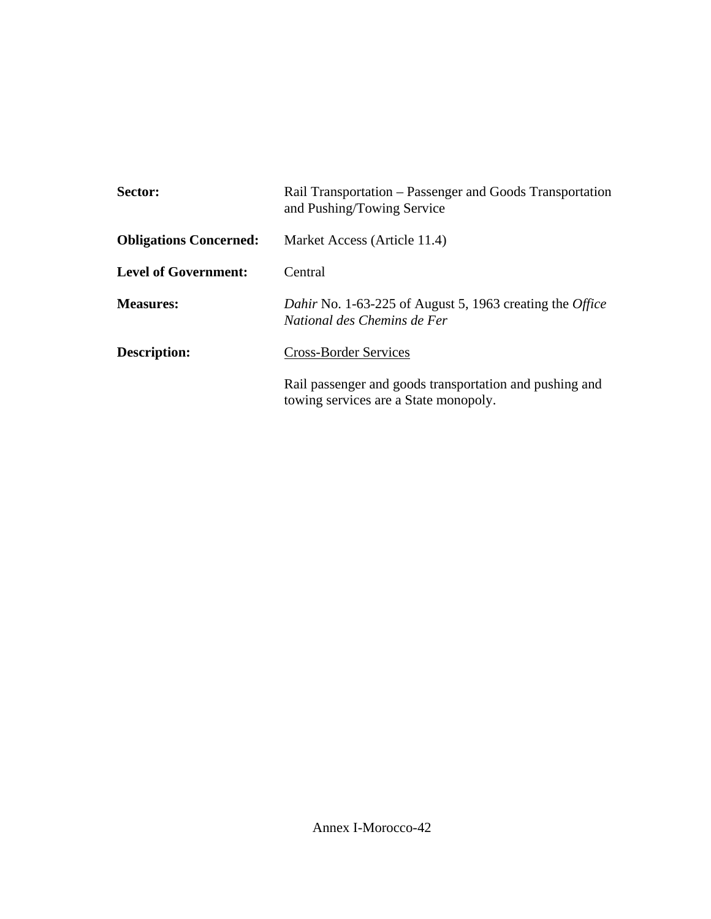| Sector:                       | Rail Transportation – Passenger and Goods Transportation<br>and Pushing/Towing Service           |
|-------------------------------|--------------------------------------------------------------------------------------------------|
| <b>Obligations Concerned:</b> | Market Access (Article 11.4)                                                                     |
| <b>Level of Government:</b>   | Central                                                                                          |
| <b>Measures:</b>              | Dahir No. 1-63-225 of August 5, 1963 creating the Office<br>National des Chemins de Fer          |
| Description:                  | <b>Cross-Border Services</b>                                                                     |
|                               | Rail passenger and goods transportation and pushing and<br>towing services are a State monopoly. |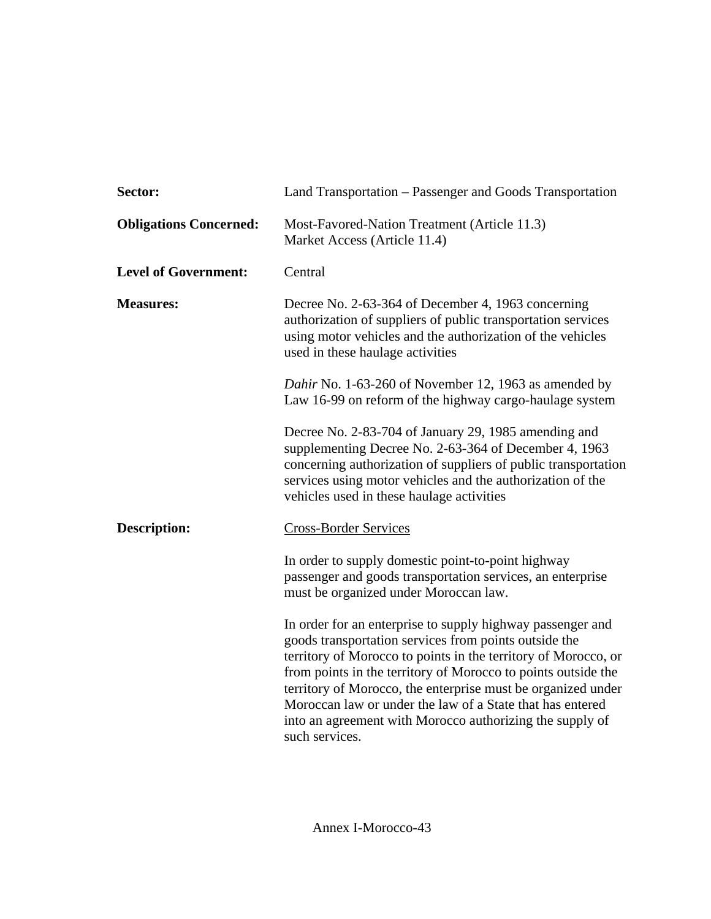| Sector:                       | Land Transportation - Passenger and Goods Transportation                                                                                                                                                                                                                                                                                                                                                                                                          |
|-------------------------------|-------------------------------------------------------------------------------------------------------------------------------------------------------------------------------------------------------------------------------------------------------------------------------------------------------------------------------------------------------------------------------------------------------------------------------------------------------------------|
| <b>Obligations Concerned:</b> | Most-Favored-Nation Treatment (Article 11.3)<br>Market Access (Article 11.4)                                                                                                                                                                                                                                                                                                                                                                                      |
| <b>Level of Government:</b>   | Central                                                                                                                                                                                                                                                                                                                                                                                                                                                           |
| <b>Measures:</b>              | Decree No. 2-63-364 of December 4, 1963 concerning<br>authorization of suppliers of public transportation services<br>using motor vehicles and the authorization of the vehicles<br>used in these haulage activities                                                                                                                                                                                                                                              |
|                               | Dahir No. 1-63-260 of November 12, 1963 as amended by<br>Law 16-99 on reform of the highway cargo-haulage system                                                                                                                                                                                                                                                                                                                                                  |
|                               | Decree No. 2-83-704 of January 29, 1985 amending and<br>supplementing Decree No. 2-63-364 of December 4, 1963<br>concerning authorization of suppliers of public transportation<br>services using motor vehicles and the authorization of the<br>vehicles used in these haulage activities                                                                                                                                                                        |
| <b>Description:</b>           | <b>Cross-Border Services</b>                                                                                                                                                                                                                                                                                                                                                                                                                                      |
|                               | In order to supply domestic point-to-point highway<br>passenger and goods transportation services, an enterprise<br>must be organized under Moroccan law.                                                                                                                                                                                                                                                                                                         |
|                               | In order for an enterprise to supply highway passenger and<br>goods transportation services from points outside the<br>territory of Morocco to points in the territory of Morocco, or<br>from points in the territory of Morocco to points outside the<br>territory of Morocco, the enterprise must be organized under<br>Moroccan law or under the law of a State that has entered<br>into an agreement with Morocco authorizing the supply of<br>such services. |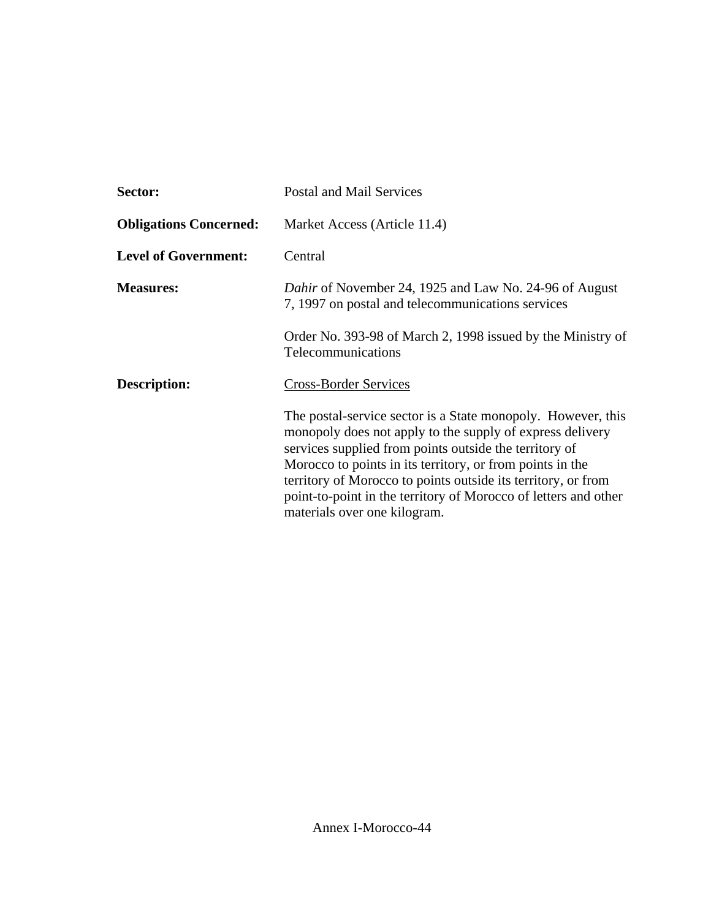| Sector:                       | <b>Postal and Mail Services</b>                                                                                                                                                                                                                                                                                                                                                                                      |
|-------------------------------|----------------------------------------------------------------------------------------------------------------------------------------------------------------------------------------------------------------------------------------------------------------------------------------------------------------------------------------------------------------------------------------------------------------------|
| <b>Obligations Concerned:</b> | Market Access (Article 11.4)                                                                                                                                                                                                                                                                                                                                                                                         |
| <b>Level of Government:</b>   | Central                                                                                                                                                                                                                                                                                                                                                                                                              |
| <b>Measures:</b>              | <i>Dahir</i> of November 24, 1925 and Law No. 24-96 of August<br>7, 1997 on postal and telecommunications services                                                                                                                                                                                                                                                                                                   |
|                               | Order No. 393-98 of March 2, 1998 issued by the Ministry of<br>Telecommunications                                                                                                                                                                                                                                                                                                                                    |
| Description:                  | <b>Cross-Border Services</b>                                                                                                                                                                                                                                                                                                                                                                                         |
|                               | The postal-service sector is a State monopoly. However, this<br>monopoly does not apply to the supply of express delivery<br>services supplied from points outside the territory of<br>Morocco to points in its territory, or from points in the<br>territory of Morocco to points outside its territory, or from<br>point-to-point in the territory of Morocco of letters and other<br>materials over one kilogram. |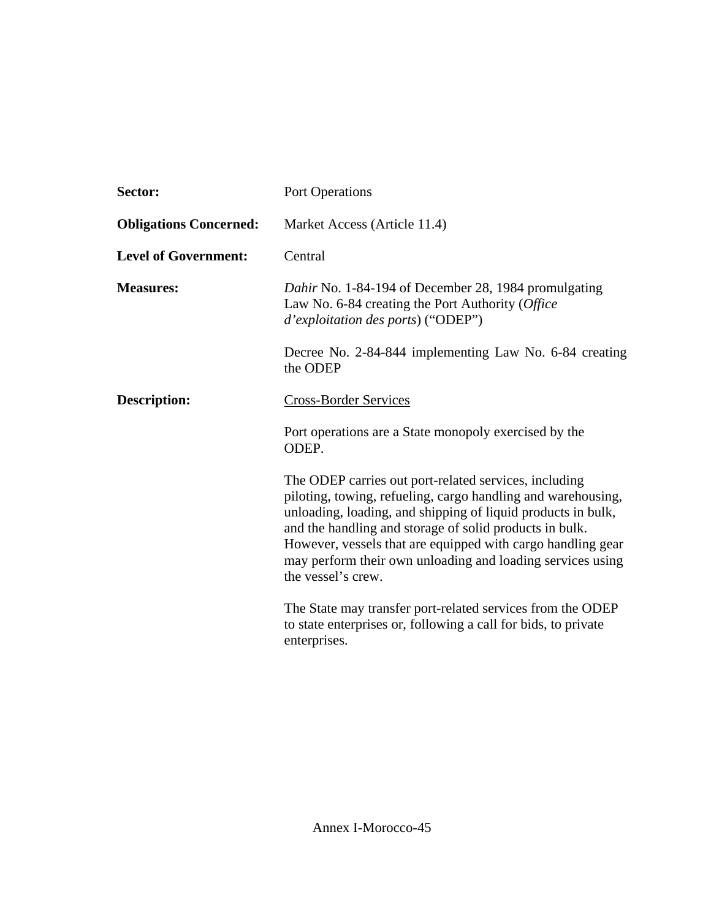| Sector:                       | <b>Port Operations</b>                                                                                                                                                                                                                                                                                                                                                                              |
|-------------------------------|-----------------------------------------------------------------------------------------------------------------------------------------------------------------------------------------------------------------------------------------------------------------------------------------------------------------------------------------------------------------------------------------------------|
| <b>Obligations Concerned:</b> | Market Access (Article 11.4)                                                                                                                                                                                                                                                                                                                                                                        |
| <b>Level of Government:</b>   | Central                                                                                                                                                                                                                                                                                                                                                                                             |
| <b>Measures:</b>              | Dahir No. 1-84-194 of December 28, 1984 promulgating<br>Law No. 6-84 creating the Port Authority (Office<br>d'exploitation des ports) ("ODEP")                                                                                                                                                                                                                                                      |
|                               | Decree No. 2-84-844 implementing Law No. 6-84 creating<br>the ODEP                                                                                                                                                                                                                                                                                                                                  |
| <b>Description:</b>           | Cross-Border Services                                                                                                                                                                                                                                                                                                                                                                               |
|                               | Port operations are a State monopoly exercised by the<br>ODEP.                                                                                                                                                                                                                                                                                                                                      |
|                               | The ODEP carries out port-related services, including<br>piloting, towing, refueling, cargo handling and warehousing,<br>unloading, loading, and shipping of liquid products in bulk,<br>and the handling and storage of solid products in bulk.<br>However, vessels that are equipped with cargo handling gear<br>may perform their own unloading and loading services using<br>the vessel's crew. |
|                               | The State may transfer port-related services from the ODEP<br>to state enterprises or, following a call for bids, to private<br>enterprises.                                                                                                                                                                                                                                                        |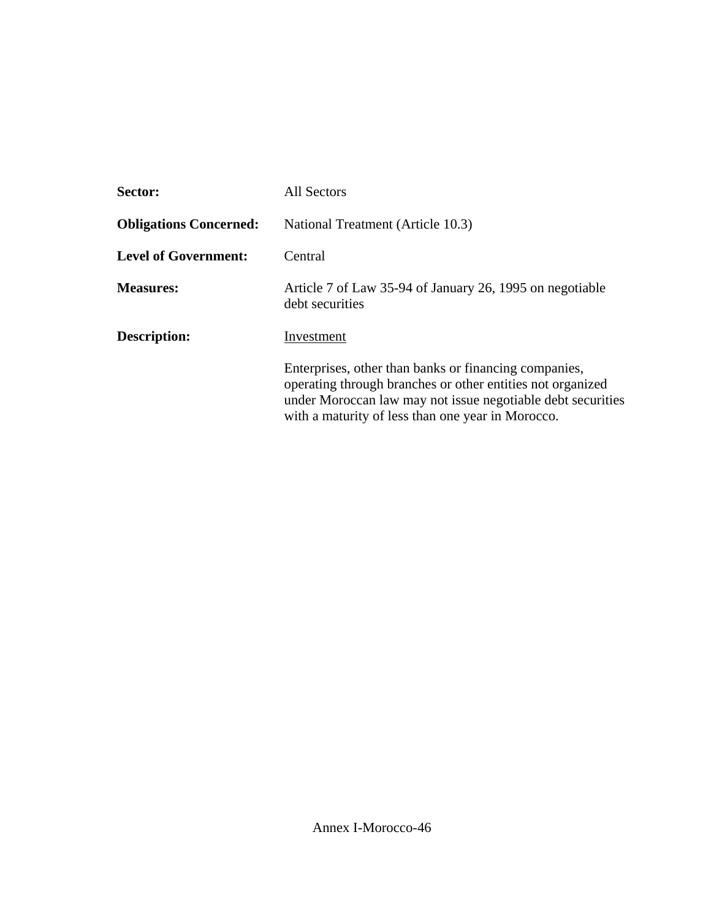| Sector:                       | <b>All Sectors</b>                                                                                                                                                                                                                      |
|-------------------------------|-----------------------------------------------------------------------------------------------------------------------------------------------------------------------------------------------------------------------------------------|
| <b>Obligations Concerned:</b> | National Treatment (Article 10.3)                                                                                                                                                                                                       |
| <b>Level of Government:</b>   | Central                                                                                                                                                                                                                                 |
| <b>Measures:</b>              | Article 7 of Law 35-94 of January 26, 1995 on negotiable<br>debt securities                                                                                                                                                             |
| Description:                  | Investment                                                                                                                                                                                                                              |
|                               | Enterprises, other than banks or financing companies,<br>operating through branches or other entities not organized<br>under Moroccan law may not issue negotiable debt securities<br>with a maturity of less than one year in Morocco. |